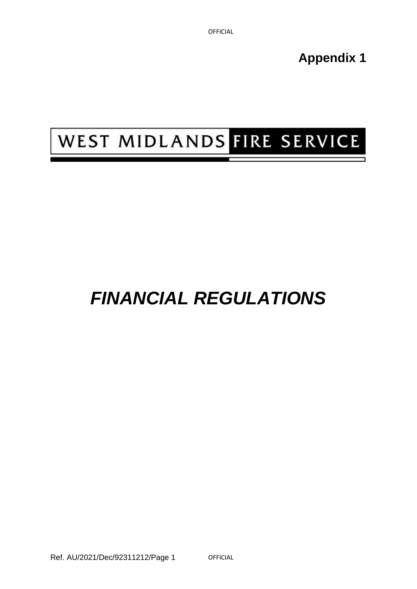**Appendix 1** 

# WEST MIDLANDS FIRE SERVICE

## *FINANCIAL REGULATIONS*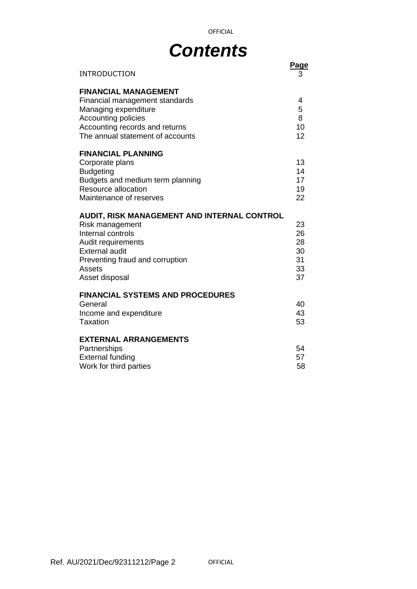## *Contents*

OFFICIAL

| <b>INTRODUCTION</b>                                                                                                                                                                                      | Page<br>3                              |
|----------------------------------------------------------------------------------------------------------------------------------------------------------------------------------------------------------|----------------------------------------|
| <b>FINANCIAL MANAGEMENT</b><br>Financial management standards<br>Managing expenditure<br><b>Accounting policies</b><br>Accounting records and returns<br>The annual statement of accounts                | 4<br>5<br>8<br>10<br>12                |
| <b>FINANCIAL PLANNING</b><br>Corporate plans<br><b>Budgeting</b><br>Budgets and medium term planning<br><b>Resource allocation</b><br>Maintenance of reserves                                            | 13<br>14<br>17<br>19<br>22             |
| AUDIT, RISK MANAGEMENT AND INTERNAL CONTROL<br>Risk management<br>Internal controls<br>Audit requirements<br><b>External audit</b><br>Preventing fraud and corruption<br><b>Assets</b><br>Asset disposal | 23<br>26<br>28<br>30<br>31<br>33<br>37 |
| <b>FINANCIAL SYSTEMS AND PROCEDURES</b><br>General<br>Income and expenditure<br>Taxation                                                                                                                 | 40<br>43<br>53                         |
| <b>EXTERNAL ARRANGEMENTS</b><br>Partnerships<br><b>External funding</b><br>Work for third parties                                                                                                        | 54<br>57<br>58                         |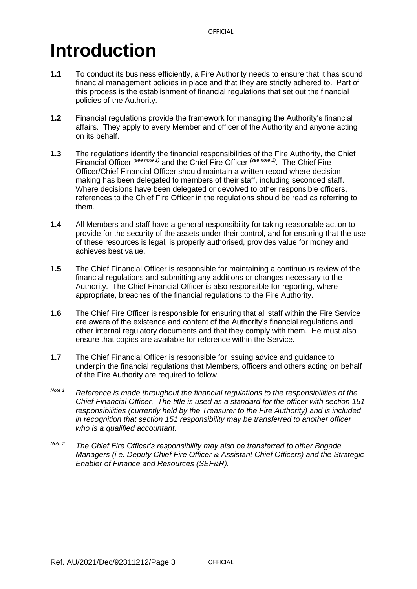## **Introduction**

- **1.1** To conduct its business efficiently, a Fire Authority needs to ensure that it has sound financial management policies in place and that they are strictly adhered to. Part of this process is the establishment of financial regulations that set out the financial policies of the Authority.
- **1.2** Financial regulations provide the framework for managing the Authority's financial affairs. They apply to every Member and officer of the Authority and anyone acting on its behalf.
- **1.3** The regulations identify the financial responsibilities of the Fire Authority, the Chief Financial Officer *(see note 1)* and the Chief Fire Officer *(see note 2)*. The Chief Fire Officer/Chief Financial Officer should maintain a written record where decision making has been delegated to members of their staff, including seconded staff. Where decisions have been delegated or devolved to other responsible officers, references to the Chief Fire Officer in the regulations should be read as referring to them.
- **1.4** All Members and staff have a general responsibility for taking reasonable action to provide for the security of the assets under their control, and for ensuring that the use of these resources is legal, is properly authorised, provides value for money and achieves best value.
- **1.5** The Chief Financial Officer is responsible for maintaining a continuous review of the financial regulations and submitting any additions or changes necessary to the Authority. The Chief Financial Officer is also responsible for reporting, where appropriate, breaches of the financial regulations to the Fire Authority.
- **1.6** The Chief Fire Officer is responsible for ensuring that all staff within the Fire Service are aware of the existence and content of the Authority's financial regulations and other internal regulatory documents and that they comply with them. He must also ensure that copies are available for reference within the Service.
- **1.7** The Chief Financial Officer is responsible for issuing advice and guidance to underpin the financial regulations that Members, officers and others acting on behalf of the Fire Authority are required to follow.
- *Note 1 Reference is made throughout the financial regulations to the responsibilities of the Chief Financial Officer. The title is used as a standard for the officer with section 151 responsibilities (currently held by the Treasurer to the Fire Authority) and is included in recognition that section 151 responsibility may be transferred to another officer who is a qualified accountant.*
- *Note 2 The Chief Fire Officer's responsibility may also be transferred to other Brigade Managers (i.e. Deputy Chief Fire Officer & Assistant Chief Officers) and the Strategic Enabler of Finance and Resources (SEF&R).*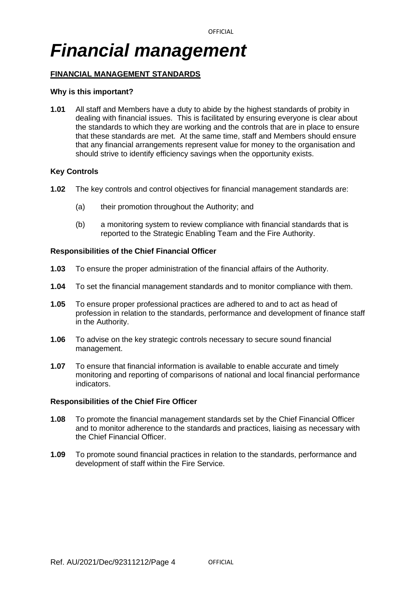## *Financial management*

## **FINANCIAL MANAGEMENT STANDARDS**

## **Why is this important?**

**1.01** All staff and Members have a duty to abide by the highest standards of probity in dealing with financial issues. This is facilitated by ensuring everyone is clear about the standards to which they are working and the controls that are in place to ensure that these standards are met. At the same time, staff and Members should ensure that any financial arrangements represent value for money to the organisation and should strive to identify efficiency savings when the opportunity exists.

## **Key Controls**

- **1.02** The key controls and control objectives for financial management standards are:
	- (a) their promotion throughout the Authority; and
	- (b) a monitoring system to review compliance with financial standards that is reported to the Strategic Enabling Team and the Fire Authority.

## **Responsibilities of the Chief Financial Officer**

- **1.03** To ensure the proper administration of the financial affairs of the Authority.
- **1.04** To set the financial management standards and to monitor compliance with them.
- **1.05** To ensure proper professional practices are adhered to and to act as head of profession in relation to the standards, performance and development of finance staff in the Authority.
- **1.06** To advise on the key strategic controls necessary to secure sound financial management.
- **1.07** To ensure that financial information is available to enable accurate and timely monitoring and reporting of comparisons of national and local financial performance indicators.

- **1.08** To promote the financial management standards set by the Chief Financial Officer and to monitor adherence to the standards and practices, liaising as necessary with the Chief Financial Officer.
- **1.09** To promote sound financial practices in relation to the standards, performance and development of staff within the Fire Service.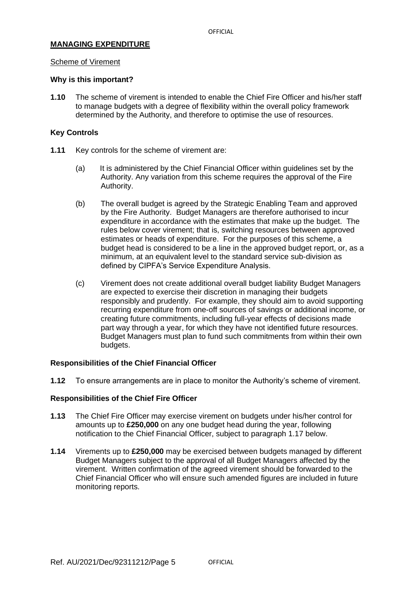## **MANAGING EXPENDITURE**

#### Scheme of Virement

#### **Why is this important?**

**1.10** The scheme of virement is intended to enable the Chief Fire Officer and his/her staff to manage budgets with a degree of flexibility within the overall policy framework determined by the Authority, and therefore to optimise the use of resources.

### **Key Controls**

- **1.11** Key controls for the scheme of virement are:
	- (a) It is administered by the Chief Financial Officer within guidelines set by the Authority. Any variation from this scheme requires the approval of the Fire Authority.
	- (b) The overall budget is agreed by the Strategic Enabling Team and approved by the Fire Authority. Budget Managers are therefore authorised to incur expenditure in accordance with the estimates that make up the budget. The rules below cover virement; that is, switching resources between approved estimates or heads of expenditure. For the purposes of this scheme, a budget head is considered to be a line in the approved budget report, or, as a minimum, at an equivalent level to the standard service sub-division as defined by CIPFA's Service Expenditure Analysis.
	- (c) Virement does not create additional overall budget liability Budget Managers are expected to exercise their discretion in managing their budgets responsibly and prudently. For example, they should aim to avoid supporting recurring expenditure from one-off sources of savings or additional income, or creating future commitments, including full-year effects of decisions made part way through a year, for which they have not identified future resources. Budget Managers must plan to fund such commitments from within their own budgets.

#### **Responsibilities of the Chief Financial Officer**

**1.12** To ensure arrangements are in place to monitor the Authority's scheme of virement.

- **1.13** The Chief Fire Officer may exercise virement on budgets under his/her control for amounts up to **£250,000** on any one budget head during the year, following notification to the Chief Financial Officer, subject to paragraph 1.17 below.
- **1.14** Virements up to **£250,000** may be exercised between budgets managed by different Budget Managers subject to the approval of all Budget Managers affected by the virement. Written confirmation of the agreed virement should be forwarded to the Chief Financial Officer who will ensure such amended figures are included in future monitoring reports.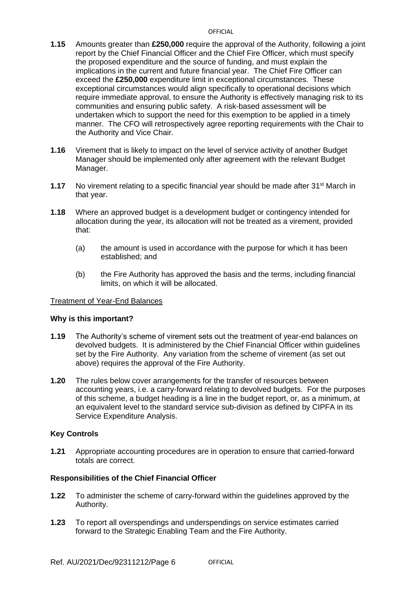- **1.15** Amounts greater than **£250,000** require the approval of the Authority, following a joint report by the Chief Financial Officer and the Chief Fire Officer, which must specify the proposed expenditure and the source of funding, and must explain the implications in the current and future financial year. The Chief Fire Officer can exceed the **£250,000** expenditure limit in exceptional circumstances. These exceptional circumstances would align specifically to operational decisions which require immediate approval, to ensure the Authority is effectively managing risk to its communities and ensuring public safety. A risk-based assessment will be undertaken which to support the need for this exemption to be applied in a timely manner. The CFO will retrospectively agree reporting requirements with the Chair to the Authority and Vice Chair.
- **1.16** Virement that is likely to impact on the level of service activity of another Budget Manager should be implemented only after agreement with the relevant Budget Manager.
- **1.17** No virement relating to a specific financial year should be made after 31<sup>st</sup> March in that year.
- **1.18** Where an approved budget is a development budget or contingency intended for allocation during the year, its allocation will not be treated as a virement, provided that:
	- (a) the amount is used in accordance with the purpose for which it has been established; and
	- (b) the Fire Authority has approved the basis and the terms, including financial limits, on which it will be allocated.

## Treatment of Year-End Balances

#### **Why is this important?**

- **1.19** The Authority's scheme of virement sets out the treatment of year-end balances on devolved budgets. It is administered by the Chief Financial Officer within guidelines set by the Fire Authority. Any variation from the scheme of virement (as set out above) requires the approval of the Fire Authority.
- **1.20** The rules below cover arrangements for the transfer of resources between accounting years, i.e. a carry-forward relating to devolved budgets. For the purposes of this scheme, a budget heading is a line in the budget report, or, as a minimum, at an equivalent level to the standard service sub-division as defined by CIPFA in its Service Expenditure Analysis.

## **Key Controls**

**1.21** Appropriate accounting procedures are in operation to ensure that carried-forward totals are correct.

- **1.22** To administer the scheme of carry-forward within the guidelines approved by the Authority.
- **1.23** To report all overspendings and underspendings on service estimates carried forward to the Strategic Enabling Team and the Fire Authority.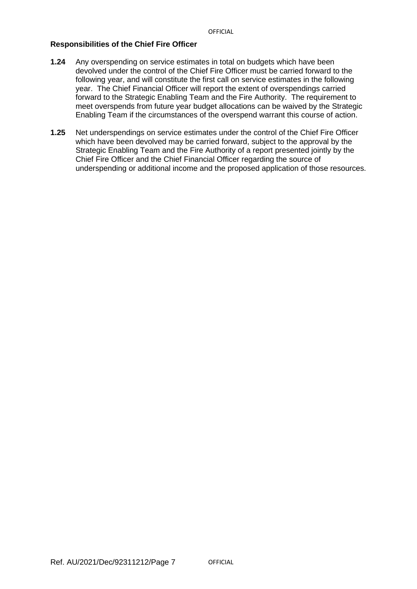- **1.24** Any overspending on service estimates in total on budgets which have been devolved under the control of the Chief Fire Officer must be carried forward to the following year, and will constitute the first call on service estimates in the following year. The Chief Financial Officer will report the extent of overspendings carried forward to the Strategic Enabling Team and the Fire Authority. The requirement to meet overspends from future year budget allocations can be waived by the Strategic Enabling Team if the circumstances of the overspend warrant this course of action.
- **1.25** Net underspendings on service estimates under the control of the Chief Fire Officer which have been devolved may be carried forward, subject to the approval by the Strategic Enabling Team and the Fire Authority of a report presented jointly by the Chief Fire Officer and the Chief Financial Officer regarding the source of underspending or additional income and the proposed application of those resources.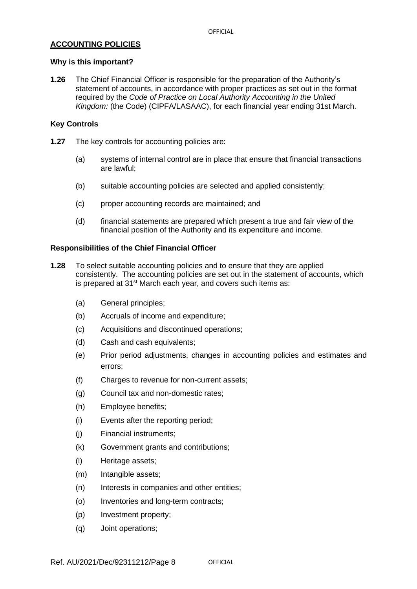## **ACCOUNTING POLICIES**

## **Why is this important?**

**1.26** The Chief Financial Officer is responsible for the preparation of the Authority's statement of accounts, in accordance with proper practices as set out in the format required by the *Code of Practice on Local Authority Accounting in the United Kingdom:* (the Code) (CIPFA/LASAAC), for each financial year ending 31st March.

## **Key Controls**

- **1.27** The key controls for accounting policies are:
	- (a) systems of internal control are in place that ensure that financial transactions are lawful;
	- (b) suitable accounting policies are selected and applied consistently;
	- (c) proper accounting records are maintained; and
	- (d) financial statements are prepared which present a true and fair view of the financial position of the Authority and its expenditure and income.

- **1.28** To select suitable accounting policies and to ensure that they are applied consistently. The accounting policies are set out in the statement of accounts, which is prepared at 31<sup>st</sup> March each year, and covers such items as:
	- (a) General principles;
	- (b) Accruals of income and expenditure;
	- (c) Acquisitions and discontinued operations;
	- (d) Cash and cash equivalents;
	- (e) Prior period adjustments, changes in accounting policies and estimates and errors;
	- (f) Charges to revenue for non-current assets;
	- (g) Council tax and non-domestic rates;
	- (h) Employee benefits;
	- (i) Events after the reporting period;
	- (j) Financial instruments;
	- (k) Government grants and contributions;
	- (l) Heritage assets;
	- (m) Intangible assets;
	- (n) Interests in companies and other entities;
	- (o) Inventories and long-term contracts;
	- (p) Investment property;
	- (q) Joint operations;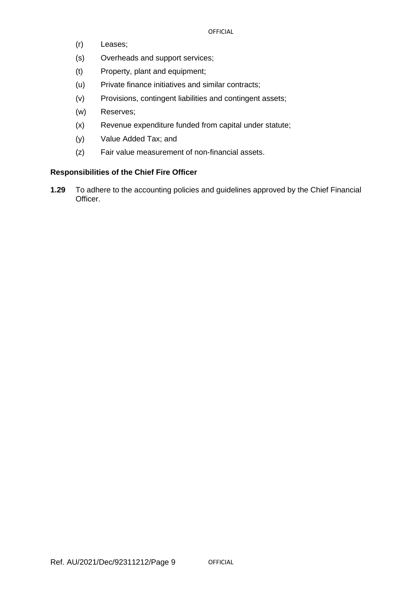- (r) Leases;
- (s) Overheads and support services;
- (t) Property, plant and equipment;
- (u) Private finance initiatives and similar contracts;
- (v) Provisions, contingent liabilities and contingent assets;
- (w) Reserves;
- (x) Revenue expenditure funded from capital under statute;
- (y) Value Added Tax; and
- (z) Fair value measurement of non-financial assets.

## **Responsibilities of the Chief Fire Officer**

**1.29** To adhere to the accounting policies and guidelines approved by the Chief Financial Officer.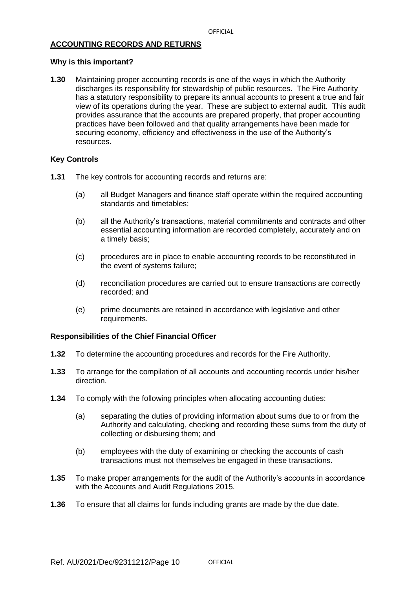## **ACCOUNTING RECORDS AND RETURNS**

## **Why is this important?**

**1.30** Maintaining proper accounting records is one of the ways in which the Authority discharges its responsibility for stewardship of public resources. The Fire Authority has a statutory responsibility to prepare its annual accounts to present a true and fair view of its operations during the year. These are subject to external audit. This audit provides assurance that the accounts are prepared properly, that proper accounting practices have been followed and that quality arrangements have been made for securing economy, efficiency and effectiveness in the use of the Authority's resources.

## **Key Controls**

- **1.31** The key controls for accounting records and returns are:
	- (a) all Budget Managers and finance staff operate within the required accounting standards and timetables;
	- (b) all the Authority's transactions, material commitments and contracts and other essential accounting information are recorded completely, accurately and on a timely basis;
	- (c) procedures are in place to enable accounting records to be reconstituted in the event of systems failure;
	- (d) reconciliation procedures are carried out to ensure transactions are correctly recorded; and
	- (e) prime documents are retained in accordance with legislative and other requirements.

- **1.32** To determine the accounting procedures and records for the Fire Authority.
- **1.33** To arrange for the compilation of all accounts and accounting records under his/her direction.
- **1.34** To comply with the following principles when allocating accounting duties:
	- (a) separating the duties of providing information about sums due to or from the Authority and calculating, checking and recording these sums from the duty of collecting or disbursing them; and
	- (b) employees with the duty of examining or checking the accounts of cash transactions must not themselves be engaged in these transactions.
- **1.35** To make proper arrangements for the audit of the Authority's accounts in accordance with the Accounts and Audit Regulations 2015.
- **1.36** To ensure that all claims for funds including grants are made by the due date.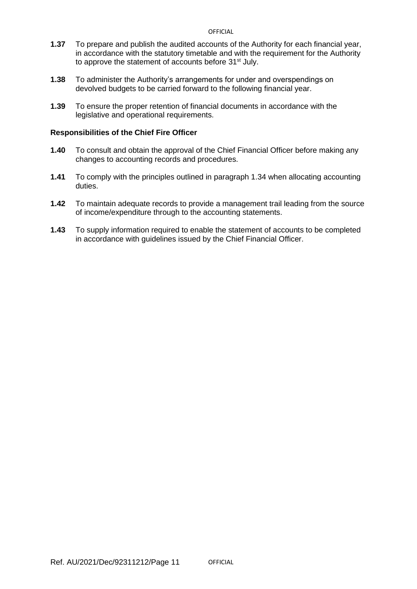- **1.37** To prepare and publish the audited accounts of the Authority for each financial year, in accordance with the statutory timetable and with the requirement for the Authority to approve the statement of accounts before 31<sup>st</sup> July.
- **1.38** To administer the Authority's arrangements for under and overspendings on devolved budgets to be carried forward to the following financial year.
- **1.39** To ensure the proper retention of financial documents in accordance with the legislative and operational requirements.

- **1.40** To consult and obtain the approval of the Chief Financial Officer before making any changes to accounting records and procedures.
- **1.41** To comply with the principles outlined in paragraph 1.34 when allocating accounting duties.
- **1.42** To maintain adequate records to provide a management trail leading from the source of income/expenditure through to the accounting statements.
- **1.43** To supply information required to enable the statement of accounts to be completed in accordance with guidelines issued by the Chief Financial Officer.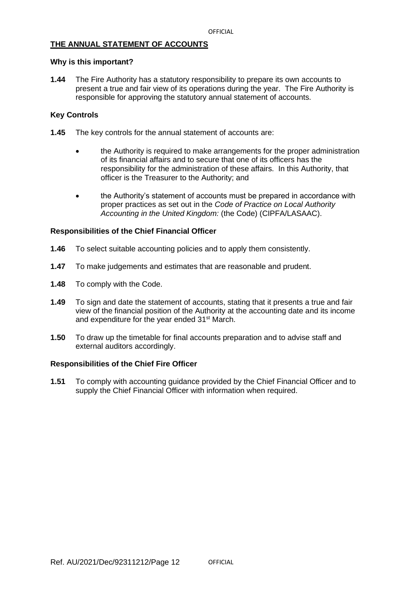## **THE ANNUAL STATEMENT OF ACCOUNTS**

#### **Why is this important?**

**1.44** The Fire Authority has a statutory responsibility to prepare its own accounts to present a true and fair view of its operations during the year. The Fire Authority is responsible for approving the statutory annual statement of accounts.

## **Key Controls**

- **1.45** The key controls for the annual statement of accounts are:
	- the Authority is required to make arrangements for the proper administration of its financial affairs and to secure that one of its officers has the responsibility for the administration of these affairs. In this Authority, that officer is the Treasurer to the Authority; and
	- the Authority's statement of accounts must be prepared in accordance with proper practices as set out in the *Code of Practice on Local Authority Accounting in the United Kingdom:* (the Code) (CIPFA/LASAAC).

## **Responsibilities of the Chief Financial Officer**

- **1.46** To select suitable accounting policies and to apply them consistently.
- **1.47** To make judgements and estimates that are reasonable and prudent.
- **1.48** To comply with the Code.
- **1.49** To sign and date the statement of accounts, stating that it presents a true and fair view of the financial position of the Authority at the accounting date and its income and expenditure for the year ended 31<sup>st</sup> March.
- **1.50** To draw up the timetable for final accounts preparation and to advise staff and external auditors accordingly.

#### **Responsibilities of the Chief Fire Officer**

**1.51** To comply with accounting guidance provided by the Chief Financial Officer and to supply the Chief Financial Officer with information when required.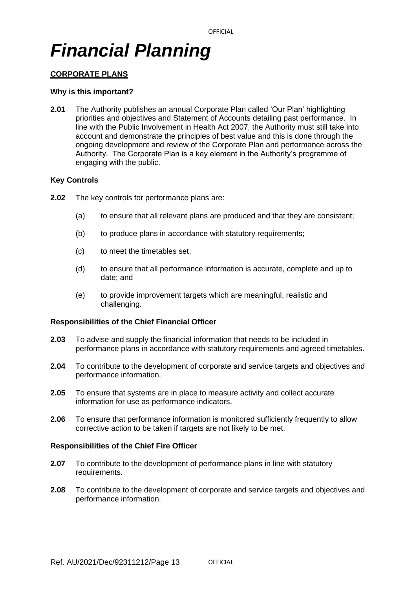## *Financial Planning*

## **CORPORATE PLANS**

### **Why is this important?**

**2.01** The Authority publishes an annual Corporate Plan called 'Our Plan' highlighting priorities and objectives and Statement of Accounts detailing past performance. In line with the Public Involvement in Health Act 2007, the Authority must still take into account and demonstrate the principles of best value and this is done through the ongoing development and review of the Corporate Plan and performance across the Authority. The Corporate Plan is a key element in the Authority's programme of engaging with the public.

## **Key Controls**

- **2.02** The key controls for performance plans are:
	- (a) to ensure that all relevant plans are produced and that they are consistent;
	- (b) to produce plans in accordance with statutory requirements;
	- (c) to meet the timetables set;
	- (d) to ensure that all performance information is accurate, complete and up to date; and
	- (e) to provide improvement targets which are meaningful, realistic and challenging.

### **Responsibilities of the Chief Financial Officer**

- **2.03** To advise and supply the financial information that needs to be included in performance plans in accordance with statutory requirements and agreed timetables.
- **2.04** To contribute to the development of corporate and service targets and objectives and performance information.
- **2.05** To ensure that systems are in place to measure activity and collect accurate information for use as performance indicators.
- **2.06** To ensure that performance information is monitored sufficiently frequently to allow corrective action to be taken if targets are not likely to be met.

- **2.07** To contribute to the development of performance plans in line with statutory requirements.
- **2.08** To contribute to the development of corporate and service targets and objectives and performance information.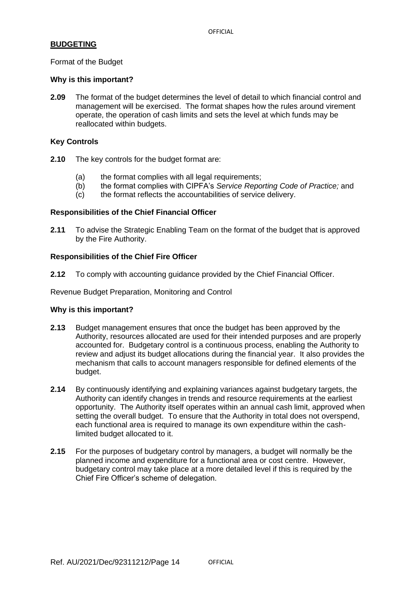## **BUDGETING**

Format of the Budget

#### **Why is this important?**

**2.09** The format of the budget determines the level of detail to which financial control and management will be exercised. The format shapes how the rules around virement operate, the operation of cash limits and sets the level at which funds may be reallocated within budgets.

### **Key Controls**

- **2.10** The key controls for the budget format are:
	- (a) the format complies with all legal requirements;
	- (b) the format complies with CIPFA's *Service Reporting Code of Practice;* and
	- (c) the format reflects the accountabilities of service delivery.

#### **Responsibilities of the Chief Financial Officer**

**2.11** To advise the Strategic Enabling Team on the format of the budget that is approved by the Fire Authority.

## **Responsibilities of the Chief Fire Officer**

**2.12** To comply with accounting guidance provided by the Chief Financial Officer.

Revenue Budget Preparation, Monitoring and Control

#### **Why is this important?**

- **2.13** Budget management ensures that once the budget has been approved by the Authority, resources allocated are used for their intended purposes and are properly accounted for. Budgetary control is a continuous process, enabling the Authority to review and adjust its budget allocations during the financial year. It also provides the mechanism that calls to account managers responsible for defined elements of the budget.
- **2.14** By continuously identifying and explaining variances against budgetary targets, the Authority can identify changes in trends and resource requirements at the earliest opportunity. The Authority itself operates within an annual cash limit, approved when setting the overall budget. To ensure that the Authority in total does not overspend, each functional area is required to manage its own expenditure within the cashlimited budget allocated to it.
- **2.15** For the purposes of budgetary control by managers, a budget will normally be the planned income and expenditure for a functional area or cost centre. However, budgetary control may take place at a more detailed level if this is required by the Chief Fire Officer's scheme of delegation.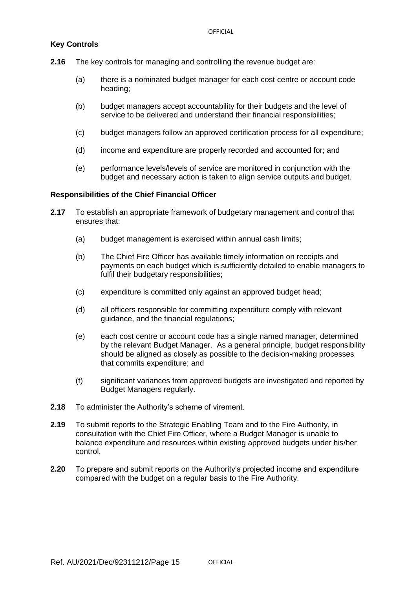## **Key Controls**

- **2.16** The key controls for managing and controlling the revenue budget are:
	- (a) there is a nominated budget manager for each cost centre or account code heading;
	- (b) budget managers accept accountability for their budgets and the level of service to be delivered and understand their financial responsibilities;
	- (c) budget managers follow an approved certification process for all expenditure;
	- (d) income and expenditure are properly recorded and accounted for; and
	- (e) performance levels/levels of service are monitored in conjunction with the budget and necessary action is taken to align service outputs and budget.

- **2.17** To establish an appropriate framework of budgetary management and control that ensures that:
	- (a) budget management is exercised within annual cash limits;
	- (b) The Chief Fire Officer has available timely information on receipts and payments on each budget which is sufficiently detailed to enable managers to fulfil their budgetary responsibilities;
	- (c) expenditure is committed only against an approved budget head;
	- (d) all officers responsible for committing expenditure comply with relevant guidance, and the financial regulations;
	- (e) each cost centre or account code has a single named manager, determined by the relevant Budget Manager. As a general principle, budget responsibility should be aligned as closely as possible to the decision-making processes that commits expenditure; and
	- (f) significant variances from approved budgets are investigated and reported by Budget Managers regularly.
- **2.18** To administer the Authority's scheme of virement.
- **2.19** To submit reports to the Strategic Enabling Team and to the Fire Authority, in consultation with the Chief Fire Officer, where a Budget Manager is unable to balance expenditure and resources within existing approved budgets under his/her control.
- **2.20** To prepare and submit reports on the Authority's projected income and expenditure compared with the budget on a regular basis to the Fire Authority.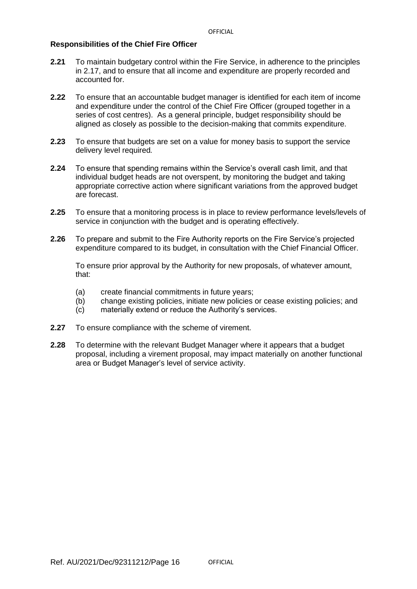## **Responsibilities of the Chief Fire Officer**

- **2.21** To maintain budgetary control within the Fire Service, in adherence to the principles in 2.17, and to ensure that all income and expenditure are properly recorded and accounted for.
- **2.22** To ensure that an accountable budget manager is identified for each item of income and expenditure under the control of the Chief Fire Officer (grouped together in a series of cost centres). As a general principle, budget responsibility should be aligned as closely as possible to the decision-making that commits expenditure.
- **2.23** To ensure that budgets are set on a value for money basis to support the service delivery level required*.*
- **2.24** To ensure that spending remains within the Service's overall cash limit, and that individual budget heads are not overspent, by monitoring the budget and taking appropriate corrective action where significant variations from the approved budget are forecast.
- **2.25** To ensure that a monitoring process is in place to review performance levels/levels of service in conjunction with the budget and is operating effectively.
- **2.26** To prepare and submit to the Fire Authority reports on the Fire Service's projected expenditure compared to its budget, in consultation with the Chief Financial Officer.

To ensure prior approval by the Authority for new proposals, of whatever amount, that:

- (a) create financial commitments in future years;
- (b) change existing policies, initiate new policies or cease existing policies; and
- (c) materially extend or reduce the Authority's services.
- **2.27** To ensure compliance with the scheme of virement.
- **2.28** To determine with the relevant Budget Manager where it appears that a budget proposal, including a virement proposal, may impact materially on another functional area or Budget Manager's level of service activity.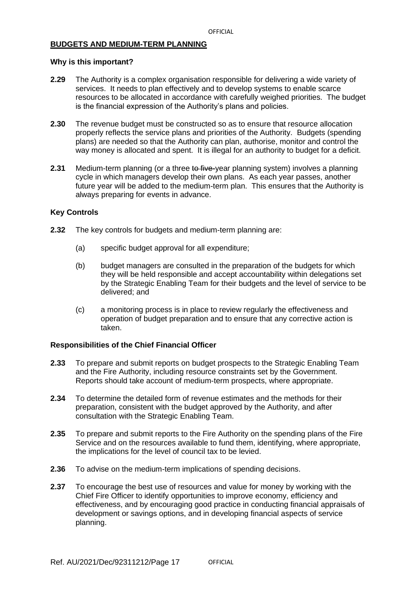## **BUDGETS AND MEDIUM-TERM PLANNING**

### **Why is this important?**

- **2.29** The Authority is a complex organisation responsible for delivering a wide variety of services. It needs to plan effectively and to develop systems to enable scarce resources to be allocated in accordance with carefully weighed priorities. The budget is the financial expression of the Authority's plans and policies.
- **2.30** The revenue budget must be constructed so as to ensure that resource allocation properly reflects the service plans and priorities of the Authority. Budgets (spending plans) are needed so that the Authority can plan, authorise, monitor and control the way money is allocated and spent. It is illegal for an authority to budget for a deficit.
- **2.31** Medium-term planning (or a three to five-year planning system) involves a planning cycle in which managers develop their own plans. As each year passes, another future year will be added to the medium-term plan. This ensures that the Authority is always preparing for events in advance.

## **Key Controls**

- **2.32** The key controls for budgets and medium-term planning are:
	- (a) specific budget approval for all expenditure;
	- (b) budget managers are consulted in the preparation of the budgets for which they will be held responsible and accept accountability within delegations set by the Strategic Enabling Team for their budgets and the level of service to be delivered; and
	- (c) a monitoring process is in place to review regularly the effectiveness and operation of budget preparation and to ensure that any corrective action is taken.

- **2.33** To prepare and submit reports on budget prospects to the Strategic Enabling Team and the Fire Authority, including resource constraints set by the Government. Reports should take account of medium-term prospects, where appropriate.
- **2.34** To determine the detailed form of revenue estimates and the methods for their preparation, consistent with the budget approved by the Authority, and after consultation with the Strategic Enabling Team.
- **2.35** To prepare and submit reports to the Fire Authority on the spending plans of the Fire Service and on the resources available to fund them, identifying, where appropriate, the implications for the level of council tax to be levied.
- **2.36** To advise on the medium-term implications of spending decisions.
- **2.37** To encourage the best use of resources and value for money by working with the Chief Fire Officer to identify opportunities to improve economy, efficiency and effectiveness, and by encouraging good practice in conducting financial appraisals of development or savings options, and in developing financial aspects of service planning.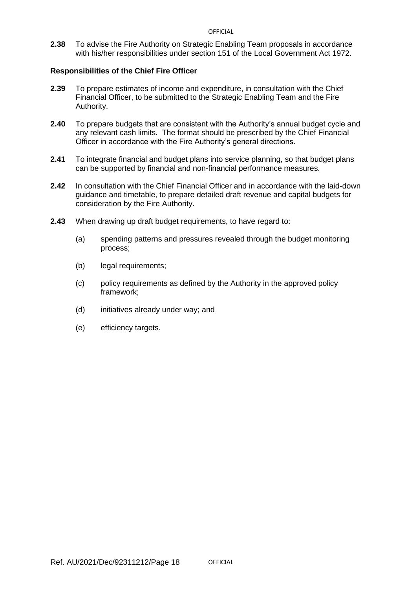**2.38** To advise the Fire Authority on Strategic Enabling Team proposals in accordance with his/her responsibilities under section 151 of the Local Government Act 1972.

- **2.39** To prepare estimates of income and expenditure, in consultation with the Chief Financial Officer, to be submitted to the Strategic Enabling Team and the Fire Authority.
- **2.40** To prepare budgets that are consistent with the Authority's annual budget cycle and any relevant cash limits. The format should be prescribed by the Chief Financial Officer in accordance with the Fire Authority's general directions.
- **2.41** To integrate financial and budget plans into service planning, so that budget plans can be supported by financial and non-financial performance measures.
- **2.42** In consultation with the Chief Financial Officer and in accordance with the laid-down guidance and timetable, to prepare detailed draft revenue and capital budgets for consideration by the Fire Authority.
- **2.43** When drawing up draft budget requirements, to have regard to:
	- (a) spending patterns and pressures revealed through the budget monitoring process;
	- (b) legal requirements;
	- (c) policy requirements as defined by the Authority in the approved policy framework;
	- (d) initiatives already under way; and
	- (e) efficiency targets.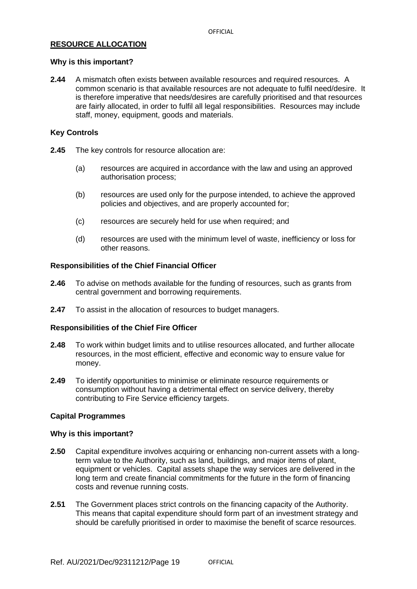## **RESOURCE ALLOCATION**

## **Why is this important?**

**2.44** A mismatch often exists between available resources and required resources. A common scenario is that available resources are not adequate to fulfil need/desire. It is therefore imperative that needs/desires are carefully prioritised and that resources are fairly allocated, in order to fulfil all legal responsibilities. Resources may include staff, money, equipment, goods and materials.

## **Key Controls**

- **2.45** The key controls for resource allocation are:
	- (a) resources are acquired in accordance with the law and using an approved authorisation process;
	- (b) resources are used only for the purpose intended, to achieve the approved policies and objectives, and are properly accounted for;
	- (c) resources are securely held for use when required; and
	- (d) resources are used with the minimum level of waste, inefficiency or loss for other reasons.

## **Responsibilities of the Chief Financial Officer**

- **2.46** To advise on methods available for the funding of resources, such as grants from central government and borrowing requirements.
- **2.47** To assist in the allocation of resources to budget managers.

## **Responsibilities of the Chief Fire Officer**

- **2.48** To work within budget limits and to utilise resources allocated, and further allocate resources, in the most efficient, effective and economic way to ensure value for money.
- **2.49** To identify opportunities to minimise or eliminate resource requirements or consumption without having a detrimental effect on service delivery, thereby contributing to Fire Service efficiency targets.

## **Capital Programmes**

#### **Why is this important?**

- **2.50** Capital expenditure involves acquiring or enhancing non-current assets with a longterm value to the Authority, such as land, buildings, and major items of plant, equipment or vehicles. Capital assets shape the way services are delivered in the long term and create financial commitments for the future in the form of financing costs and revenue running costs.
- **2.51** The Government places strict controls on the financing capacity of the Authority. This means that capital expenditure should form part of an investment strategy and should be carefully prioritised in order to maximise the benefit of scarce resources.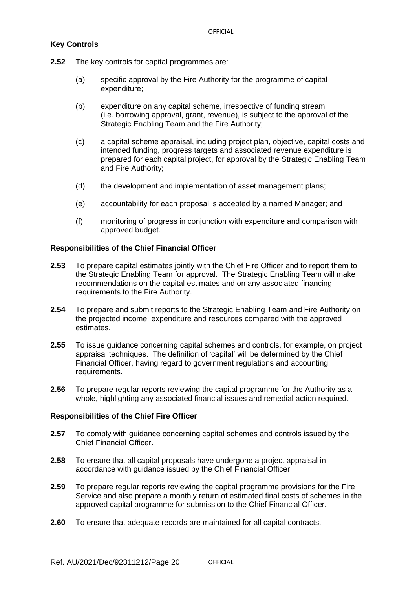## **Key Controls**

- **2.52** The key controls for capital programmes are:
	- (a) specific approval by the Fire Authority for the programme of capital expenditure;
	- (b) expenditure on any capital scheme, irrespective of funding stream (i.e. borrowing approval, grant, revenue), is subject to the approval of the Strategic Enabling Team and the Fire Authority;
	- (c) a capital scheme appraisal, including project plan, objective, capital costs and intended funding, progress targets and associated revenue expenditure is prepared for each capital project, for approval by the Strategic Enabling Team and Fire Authority;
	- (d) the development and implementation of asset management plans;
	- (e) accountability for each proposal is accepted by a named Manager; and
	- (f) monitoring of progress in conjunction with expenditure and comparison with approved budget.

## **Responsibilities of the Chief Financial Officer**

- **2.53** To prepare capital estimates jointly with the Chief Fire Officer and to report them to the Strategic Enabling Team for approval. The Strategic Enabling Team will make recommendations on the capital estimates and on any associated financing requirements to the Fire Authority.
- **2.54** To prepare and submit reports to the Strategic Enabling Team and Fire Authority on the projected income, expenditure and resources compared with the approved estimates.
- **2.55** To issue guidance concerning capital schemes and controls, for example, on project appraisal techniques. The definition of 'capital' will be determined by the Chief Financial Officer, having regard to government regulations and accounting requirements.
- **2.56** To prepare regular reports reviewing the capital programme for the Authority as a whole, highlighting any associated financial issues and remedial action required.

- **2.57** To comply with guidance concerning capital schemes and controls issued by the Chief Financial Officer.
- **2.58** To ensure that all capital proposals have undergone a project appraisal in accordance with guidance issued by the Chief Financial Officer.
- **2.59** To prepare regular reports reviewing the capital programme provisions for the Fire Service and also prepare a monthly return of estimated final costs of schemes in the approved capital programme for submission to the Chief Financial Officer.
- **2.60** To ensure that adequate records are maintained for all capital contracts.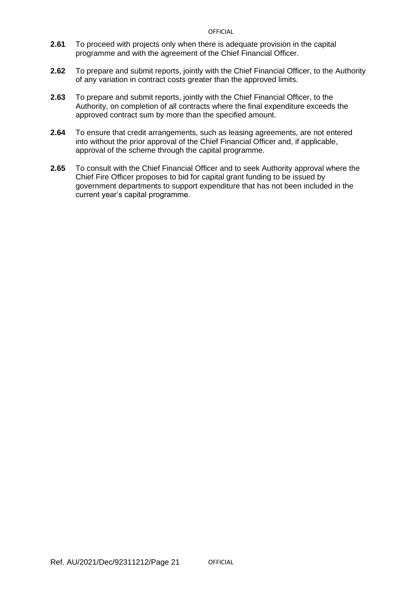- **2.61** To proceed with projects only when there is adequate provision in the capital programme and with the agreement of the Chief Financial Officer.
- **2.62** To prepare and submit reports, jointly with the Chief Financial Officer, to the Authority of any variation in contract costs greater than the approved limits.
- **2.63** To prepare and submit reports, jointly with the Chief Financial Officer, to the Authority, on completion of all contracts where the final expenditure exceeds the approved contract sum by more than the specified amount.
- **2.64** To ensure that credit arrangements, such as leasing agreements, are not entered into without the prior approval of the Chief Financial Officer and, if applicable, approval of the scheme through the capital programme.
- **2.65** To consult with the Chief Financial Officer and to seek Authority approval where the Chief Fire Officer proposes to bid for capital grant funding to be issued by government departments to support expenditure that has not been included in the current year's capital programme.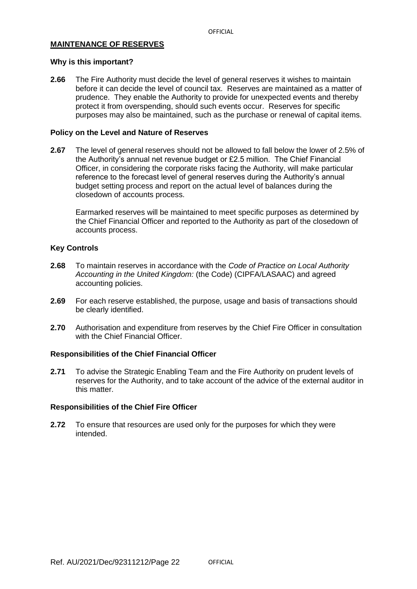#### **MAINTENANCE OF RESERVES**

#### **Why is this important?**

**2.66** The Fire Authority must decide the level of general reserves it wishes to maintain before it can decide the level of council tax. Reserves are maintained as a matter of prudence. They enable the Authority to provide for unexpected events and thereby protect it from overspending, should such events occur. Reserves for specific purposes may also be maintained, such as the purchase or renewal of capital items.

#### **Policy on the Level and Nature of Reserves**

**2.67** The level of general reserves should not be allowed to fall below the lower of 2.5% of the Authority's annual net revenue budget or £2.5 million. The Chief Financial Officer, in considering the corporate risks facing the Authority, will make particular reference to the forecast level of general reserves during the Authority's annual budget setting process and report on the actual level of balances during the closedown of accounts process.

Earmarked reserves will be maintained to meet specific purposes as determined by the Chief Financial Officer and reported to the Authority as part of the closedown of accounts process.

## **Key Controls**

- **2.68** To maintain reserves in accordance with the *Code of Practice on Local Authority Accounting in the United Kingdom:* (the Code) (CIPFA/LASAAC) and agreed accounting policies.
- **2.69** For each reserve established, the purpose, usage and basis of transactions should be clearly identified.
- **2.70** Authorisation and expenditure from reserves by the Chief Fire Officer in consultation with the Chief Financial Officer.

#### **Responsibilities of the Chief Financial Officer**

**2.71** To advise the Strategic Enabling Team and the Fire Authority on prudent levels of reserves for the Authority, and to take account of the advice of the external auditor in this matter.

#### **Responsibilities of the Chief Fire Officer**

**2.72** To ensure that resources are used only for the purposes for which they were intended.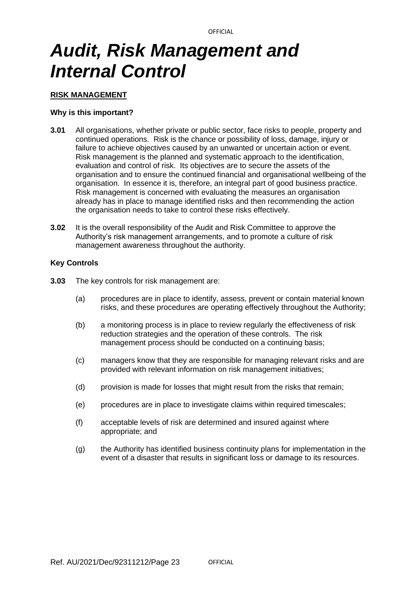## *Audit, Risk Management and Internal Control*

### **RISK MANAGEMENT**

### **Why is this important?**

- **3.01** All organisations, whether private or public sector, face risks to people, property and continued operations. Risk is the chance or possibility of loss, damage, injury or failure to achieve objectives caused by an unwanted or uncertain action or event. Risk management is the planned and systematic approach to the identification, evaluation and control of risk. Its objectives are to secure the assets of the organisation and to ensure the continued financial and organisational wellbeing of the organisation. In essence it is, therefore, an integral part of good business practice. Risk management is concerned with evaluating the measures an organisation already has in place to manage identified risks and then recommending the action the organisation needs to take to control these risks effectively.
- **3.02** It is the overall responsibility of the Audit and Risk Committee to approve the Authority's risk management arrangements, and to promote a culture of risk management awareness throughout the authority.

## **Key Controls**

- **3.03** The key controls for risk management are:
	- (a) procedures are in place to identify, assess, prevent or contain material known risks, and these procedures are operating effectively throughout the Authority;
	- (b) a monitoring process is in place to review regularly the effectiveness of risk reduction strategies and the operation of these controls. The risk management process should be conducted on a continuing basis;
	- (c) managers know that they are responsible for managing relevant risks and are provided with relevant information on risk management initiatives;
	- (d) provision is made for losses that might result from the risks that remain;
	- (e) procedures are in place to investigate claims within required timescales;
	- (f) acceptable levels of risk are determined and insured against where appropriate; and
	- (g) the Authority has identified business continuity plans for implementation in the event of a disaster that results in significant loss or damage to its resources.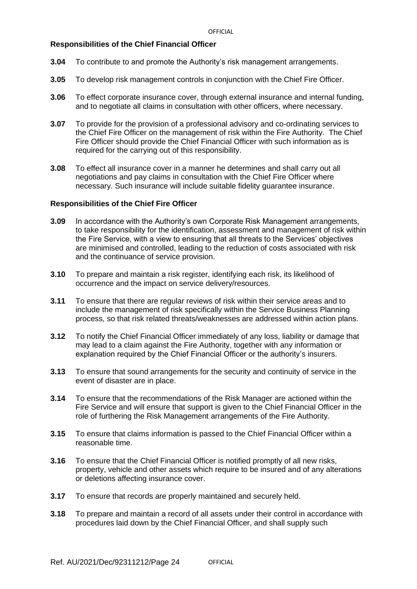## **Responsibilities of the Chief Financial Officer**

- **3.04** To contribute to and promote the Authority's risk management arrangements.
- **3.05** To develop risk management controls in conjunction with the Chief Fire Officer.
- **3.06** To effect corporate insurance cover, through external insurance and internal funding, and to negotiate all claims in consultation with other officers, where necessary.
- **3.07** To provide for the provision of a professional advisory and co-ordinating services to the Chief Fire Officer on the management of risk within the Fire Authority. The Chief Fire Officer should provide the Chief Financial Officer with such information as is required for the carrying out of this responsibility.
- **3.08** To effect all insurance cover in a manner he determines and shall carry out all negotiations and pay claims in consultation with the Chief Fire Officer where necessary. Such insurance will include suitable fidelity guarantee insurance.

- **3.09** In accordance with the Authority's own Corporate Risk Management arrangements, to take responsibility for the identification, assessment and management of risk within the Fire Service, with a view to ensuring that all threats to the Services' objectives are minimised and controlled, leading to the reduction of costs associated with risk and the continuance of service provision.
- **3.10** To prepare and maintain a risk register, identifying each risk, its likelihood of occurrence and the impact on service delivery/resources.
- **3.11** To ensure that there are regular reviews of risk within their service areas and to include the management of risk specifically within the Service Business Planning process, so that risk related threats/weaknesses are addressed within action plans.
- **3.12** To notify the Chief Financial Officer immediately of any loss, liability or damage that may lead to a claim against the Fire Authority, together with any information or explanation required by the Chief Financial Officer or the authority's insurers.
- **3.13** To ensure that sound arrangements for the security and continuity of service in the event of disaster are in place.
- **3.14** To ensure that the recommendations of the Risk Manager are actioned within the Fire Service and will ensure that support is given to the Chief Financial Officer in the role of furthering the Risk Management arrangements of the Fire Authority.
- **3.15** To ensure that claims information is passed to the Chief Financial Officer within a reasonable time.
- **3.16** To ensure that the Chief Financial Officer is notified promptly of all new risks, property, vehicle and other assets which require to be insured and of any alterations or deletions affecting insurance cover.
- **3.17** To ensure that records are properly maintained and securely held.
- **3.18** To prepare and maintain a record of all assets under their control in accordance with procedures laid down by the Chief Financial Officer, and shall supply such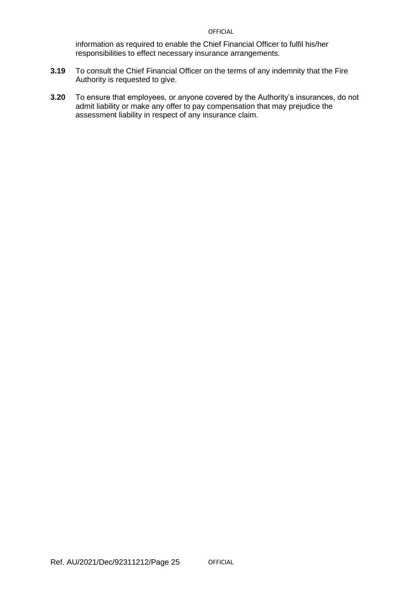information as required to enable the Chief Financial Officer to fulfil his/her responsibilities to effect necessary insurance arrangements.

- **3.19** To consult the Chief Financial Officer on the terms of any indemnity that the Fire Authority is requested to give.
- **3.20** To ensure that employees, or anyone covered by the Authority's insurances, do not admit liability or make any offer to pay compensation that may prejudice the assessment liability in respect of any insurance claim.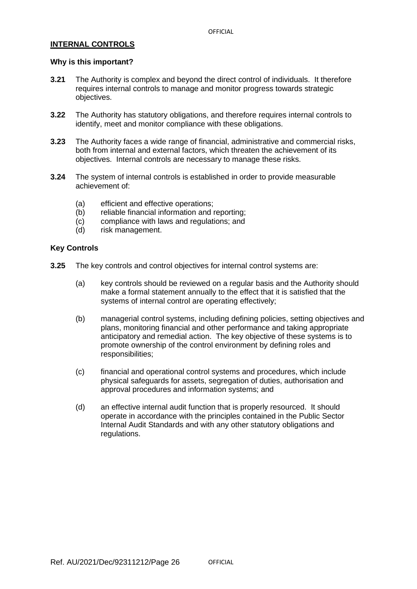## **INTERNAL CONTROLS**

#### **Why is this important?**

- **3.21** The Authority is complex and beyond the direct control of individuals. It therefore requires internal controls to manage and monitor progress towards strategic objectives.
- **3.22** The Authority has statutory obligations, and therefore requires internal controls to identify, meet and monitor compliance with these obligations.
- **3.23** The Authority faces a wide range of financial, administrative and commercial risks, both from internal and external factors, which threaten the achievement of its objectives. Internal controls are necessary to manage these risks.
- **3.24** The system of internal controls is established in order to provide measurable achievement of:
	- (a) efficient and effective operations;
	- (b) reliable financial information and reporting:
	- (c) compliance with laws and regulations; and
	- (d) risk management.

#### **Key Controls**

- **3.25** The key controls and control objectives for internal control systems are:
	- (a) key controls should be reviewed on a regular basis and the Authority should make a formal statement annually to the effect that it is satisfied that the systems of internal control are operating effectively;
	- (b) managerial control systems, including defining policies, setting objectives and plans, monitoring financial and other performance and taking appropriate anticipatory and remedial action. The key objective of these systems is to promote ownership of the control environment by defining roles and responsibilities;
	- (c) financial and operational control systems and procedures, which include physical safeguards for assets, segregation of duties, authorisation and approval procedures and information systems; and
	- (d) an effective internal audit function that is properly resourced. It should operate in accordance with the principles contained in the Public Sector Internal Audit Standards and with any other statutory obligations and regulations.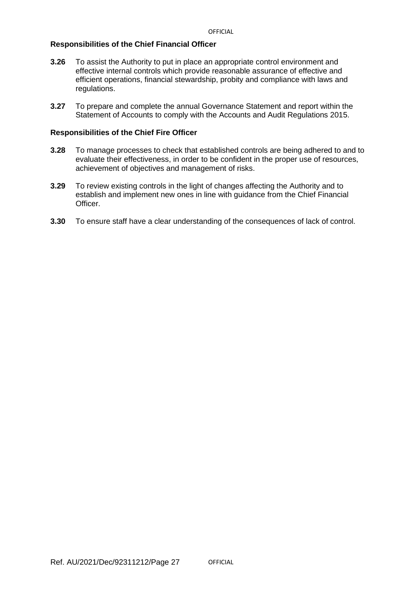### **Responsibilities of the Chief Financial Officer**

- **3.26** To assist the Authority to put in place an appropriate control environment and effective internal controls which provide reasonable assurance of effective and efficient operations, financial stewardship, probity and compliance with laws and regulations.
- **3.27** To prepare and complete the annual Governance Statement and report within the Statement of Accounts to comply with the Accounts and Audit Regulations 2015.

- **3.28** To manage processes to check that established controls are being adhered to and to evaluate their effectiveness, in order to be confident in the proper use of resources, achievement of objectives and management of risks.
- **3.29** To review existing controls in the light of changes affecting the Authority and to establish and implement new ones in line with guidance from the Chief Financial Officer.
- **3.30** To ensure staff have a clear understanding of the consequences of lack of control.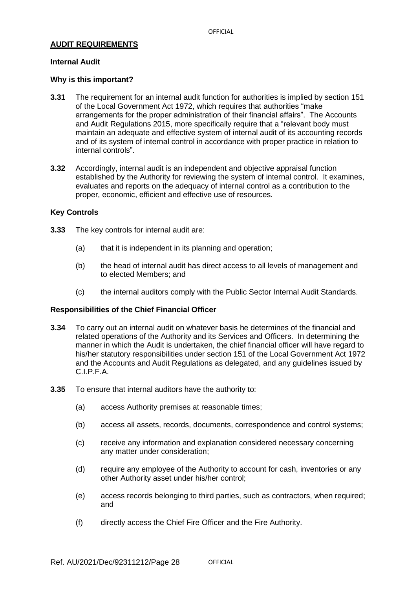## **AUDIT REQUIREMENTS**

#### **Internal Audit**

### **Why is this important?**

- **3.31** The requirement for an internal audit function for authorities is implied by section 151 of the Local Government Act 1972, which requires that authorities "make arrangements for the proper administration of their financial affairs". The Accounts and Audit Regulations 2015, more specifically require that a "relevant body must maintain an adequate and effective system of internal audit of its accounting records and of its system of internal control in accordance with proper practice in relation to internal controls".
- **3.32** Accordingly, internal audit is an independent and objective appraisal function established by the Authority for reviewing the system of internal control. It examines, evaluates and reports on the adequacy of internal control as a contribution to the proper, economic, efficient and effective use of resources.

## **Key Controls**

- **3.33** The key controls for internal audit are:
	- (a) that it is independent in its planning and operation;
	- (b) the head of internal audit has direct access to all levels of management and to elected Members; and
	- (c) the internal auditors comply with the Public Sector Internal Audit Standards.

- **3.34** To carry out an internal audit on whatever basis he determines of the financial and related operations of the Authority and its Services and Officers. In determining the manner in which the Audit is undertaken, the chief financial officer will have regard to his/her statutory responsibilities under section 151 of the Local Government Act 1972 and the Accounts and Audit Regulations as delegated, and any guidelines issued by C.I.P.F.A.
- **3.35** To ensure that internal auditors have the authority to:
	- (a) access Authority premises at reasonable times;
	- (b) access all assets, records, documents, correspondence and control systems;
	- (c) receive any information and explanation considered necessary concerning any matter under consideration;
	- (d) require any employee of the Authority to account for cash, inventories or any other Authority asset under his/her control;
	- (e) access records belonging to third parties, such as contractors, when required; and
	- (f) directly access the Chief Fire Officer and the Fire Authority.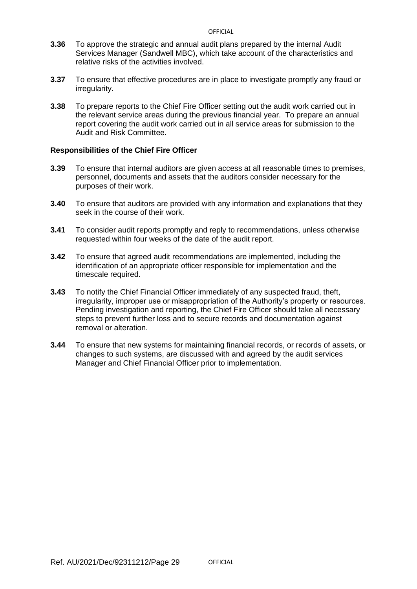- **3.36** To approve the strategic and annual audit plans prepared by the internal Audit Services Manager (Sandwell MBC), which take account of the characteristics and relative risks of the activities involved.
- **3.37** To ensure that effective procedures are in place to investigate promptly any fraud or irregularity.
- **3.38** To prepare reports to the Chief Fire Officer setting out the audit work carried out in the relevant service areas during the previous financial year. To prepare an annual report covering the audit work carried out in all service areas for submission to the Audit and Risk Committee.

- **3.39** To ensure that internal auditors are given access at all reasonable times to premises, personnel, documents and assets that the auditors consider necessary for the purposes of their work.
- **3.40** To ensure that auditors are provided with any information and explanations that they seek in the course of their work.
- **3.41** To consider audit reports promptly and reply to recommendations, unless otherwise requested within four weeks of the date of the audit report.
- **3.42** To ensure that agreed audit recommendations are implemented, including the identification of an appropriate officer responsible for implementation and the timescale required.
- **3.43** To notify the Chief Financial Officer immediately of any suspected fraud, theft, irregularity, improper use or misappropriation of the Authority's property or resources. Pending investigation and reporting, the Chief Fire Officer should take all necessary steps to prevent further loss and to secure records and documentation against removal or alteration.
- **3.44** To ensure that new systems for maintaining financial records, or records of assets, or changes to such systems, are discussed with and agreed by the audit services Manager and Chief Financial Officer prior to implementation.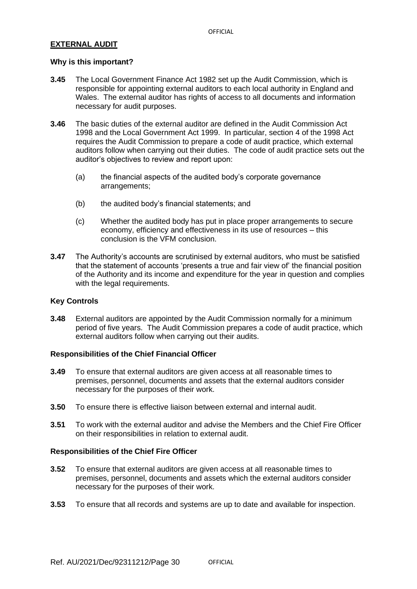## **EXTERNAL AUDIT**

#### **Why is this important?**

- **3.45** The Local Government Finance Act 1982 set up the Audit Commission, which is responsible for appointing external auditors to each local authority in England and Wales. The external auditor has rights of access to all documents and information necessary for audit purposes.
- **3.46** The basic duties of the external auditor are defined in the Audit Commission Act 1998 and the Local Government Act 1999. In particular, section 4 of the 1998 Act requires the Audit Commission to prepare a code of audit practice, which external auditors follow when carrying out their duties. The code of audit practice sets out the auditor's objectives to review and report upon:
	- (a) the financial aspects of the audited body's corporate governance arrangements;
	- (b) the audited body's financial statements; and
	- (c) Whether the audited body has put in place proper arrangements to secure economy, efficiency and effectiveness in its use of resources – this conclusion is the VFM conclusion.
- **3.47** The Authority's accounts are scrutinised by external auditors, who must be satisfied that the statement of accounts 'presents a true and fair view of' the financial position of the Authority and its income and expenditure for the year in question and complies with the legal requirements.

## **Key Controls**

**3.48** External auditors are appointed by the Audit Commission normally for a minimum period of five years. The Audit Commission prepares a code of audit practice, which external auditors follow when carrying out their audits.

## **Responsibilities of the Chief Financial Officer**

- **3.49** To ensure that external auditors are given access at all reasonable times to premises, personnel, documents and assets that the external auditors consider necessary for the purposes of their work.
- **3.50** To ensure there is effective liaison between external and internal audit.
- **3.51** To work with the external auditor and advise the Members and the Chief Fire Officer on their responsibilities in relation to external audit.

- **3.52** To ensure that external auditors are given access at all reasonable times to premises, personnel, documents and assets which the external auditors consider necessary for the purposes of their work.
- **3.53** To ensure that all records and systems are up to date and available for inspection.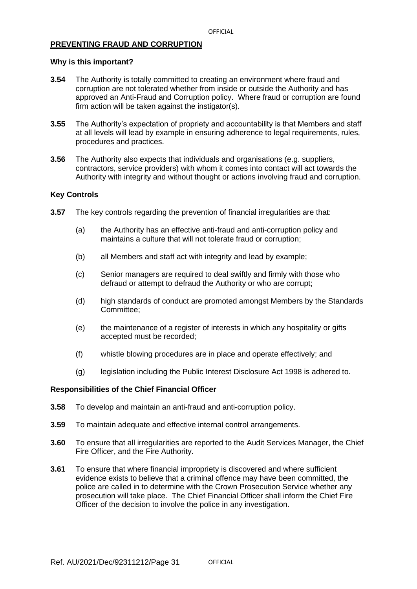## **PREVENTING FRAUD AND CORRUPTION**

#### **Why is this important?**

- **3.54** The Authority is totally committed to creating an environment where fraud and corruption are not tolerated whether from inside or outside the Authority and has approved an Anti-Fraud and Corruption policy. Where fraud or corruption are found firm action will be taken against the instigator(s).
- **3.55** The Authority's expectation of propriety and accountability is that Members and staff at all levels will lead by example in ensuring adherence to legal requirements, rules, procedures and practices.
- **3.56** The Authority also expects that individuals and organisations (e.g. suppliers, contractors, service providers) with whom it comes into contact will act towards the Authority with integrity and without thought or actions involving fraud and corruption.

#### **Key Controls**

- **3.57** The key controls regarding the prevention of financial irregularities are that:
	- (a) the Authority has an effective anti-fraud and anti-corruption policy and maintains a culture that will not tolerate fraud or corruption;
	- (b) all Members and staff act with integrity and lead by example;
	- (c) Senior managers are required to deal swiftly and firmly with those who defraud or attempt to defraud the Authority or who are corrupt;
	- (d) high standards of conduct are promoted amongst Members by the Standards Committee;
	- (e) the maintenance of a register of interests in which any hospitality or gifts accepted must be recorded;
	- (f) whistle blowing procedures are in place and operate effectively; and
	- (g) legislation including the Public Interest Disclosure Act 1998 is adhered to.

- **3.58** To develop and maintain an anti-fraud and anti-corruption policy.
- **3.59** To maintain adequate and effective internal control arrangements.
- **3.60** To ensure that all irregularities are reported to the Audit Services Manager, the Chief Fire Officer, and the Fire Authority.
- **3.61** To ensure that where financial impropriety is discovered and where sufficient evidence exists to believe that a criminal offence may have been committed, the police are called in to determine with the Crown Prosecution Service whether any prosecution will take place. The Chief Financial Officer shall inform the Chief Fire Officer of the decision to involve the police in any investigation.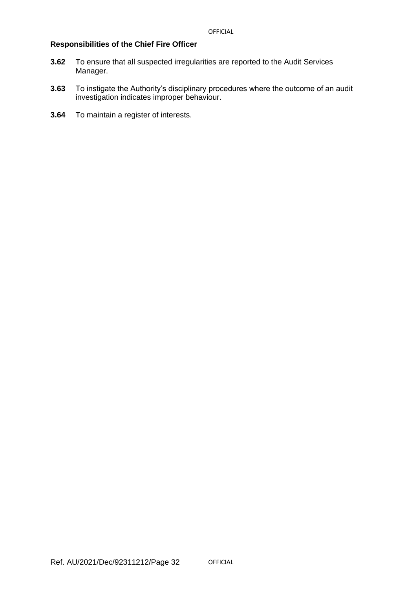- **3.62** To ensure that all suspected irregularities are reported to the Audit Services Manager.
- **3.63** To instigate the Authority's disciplinary procedures where the outcome of an audit investigation indicates improper behaviour.
- **3.64** To maintain a register of interests.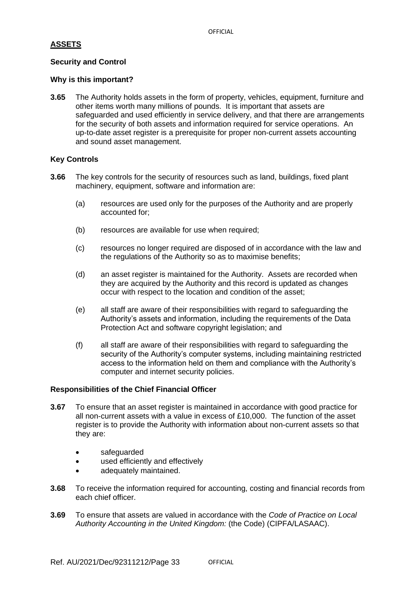## **ASSETS**

## **Security and Control**

## **Why is this important?**

**3.65** The Authority holds assets in the form of property, vehicles, equipment, furniture and other items worth many millions of pounds. It is important that assets are safeguarded and used efficiently in service delivery, and that there are arrangements for the security of both assets and information required for service operations. An up-to-date asset register is a prerequisite for proper non-current assets accounting and sound asset management.

## **Key Controls**

- **3.66** The key controls for the security of resources such as land, buildings, fixed plant machinery, equipment, software and information are:
	- (a) resources are used only for the purposes of the Authority and are properly accounted for;
	- (b) resources are available for use when required;
	- (c) resources no longer required are disposed of in accordance with the law and the regulations of the Authority so as to maximise benefits;
	- (d) an asset register is maintained for the Authority. Assets are recorded when they are acquired by the Authority and this record is updated as changes occur with respect to the location and condition of the asset;
	- (e) all staff are aware of their responsibilities with regard to safeguarding the Authority's assets and information, including the requirements of the Data Protection Act and software copyright legislation; and
	- (f) all staff are aware of their responsibilities with regard to safeguarding the security of the Authority's computer systems, including maintaining restricted access to the information held on them and compliance with the Authority's computer and internet security policies.

- **3.67** To ensure that an asset register is maintained in accordance with good practice for all non-current assets with a value in excess of £10,000. The function of the asset register is to provide the Authority with information about non-current assets so that they are:
	- safeguarded
	- used efficiently and effectively
	- adequately maintained.
- **3.68** To receive the information required for accounting, costing and financial records from each chief officer.
- **3.69** To ensure that assets are valued in accordance with the *Code of Practice on Local Authority Accounting in the United Kingdom:* (the Code) (CIPFA/LASAAC).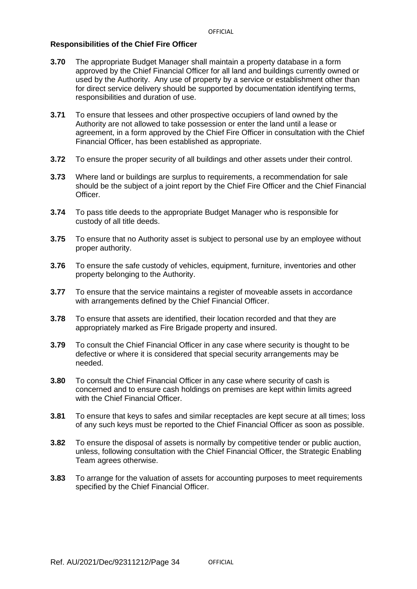- **3.70** The appropriate Budget Manager shall maintain a property database in a form approved by the Chief Financial Officer for all land and buildings currently owned or used by the Authority. Any use of property by a service or establishment other than for direct service delivery should be supported by documentation identifying terms, responsibilities and duration of use.
- **3.71** To ensure that lessees and other prospective occupiers of land owned by the Authority are not allowed to take possession or enter the land until a lease or agreement, in a form approved by the Chief Fire Officer in consultation with the Chief Financial Officer, has been established as appropriate.
- **3.72** To ensure the proper security of all buildings and other assets under their control.
- **3.73** Where land or buildings are surplus to requirements, a recommendation for sale should be the subject of a joint report by the Chief Fire Officer and the Chief Financial Officer.
- **3.74** To pass title deeds to the appropriate Budget Manager who is responsible for custody of all title deeds.
- **3.75** To ensure that no Authority asset is subject to personal use by an employee without proper authority.
- **3.76** To ensure the safe custody of vehicles, equipment, furniture, inventories and other property belonging to the Authority.
- **3.77** To ensure that the service maintains a register of moveable assets in accordance with arrangements defined by the Chief Financial Officer.
- **3.78** To ensure that assets are identified, their location recorded and that they are appropriately marked as Fire Brigade property and insured.
- **3.79** To consult the Chief Financial Officer in any case where security is thought to be defective or where it is considered that special security arrangements may be needed.
- **3.80** To consult the Chief Financial Officer in any case where security of cash is concerned and to ensure cash holdings on premises are kept within limits agreed with the Chief Financial Officer.
- **3.81** To ensure that keys to safes and similar receptacles are kept secure at all times; loss of any such keys must be reported to the Chief Financial Officer as soon as possible.
- **3.82** To ensure the disposal of assets is normally by competitive tender or public auction, unless, following consultation with the Chief Financial Officer, the Strategic Enabling Team agrees otherwise.
- **3.83** To arrange for the valuation of assets for accounting purposes to meet requirements specified by the Chief Financial Officer.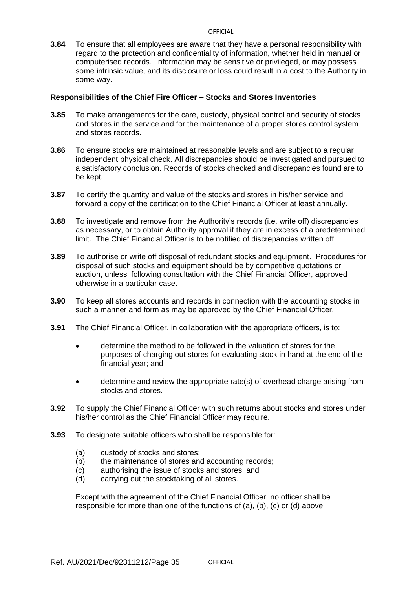**3.84** To ensure that all employees are aware that they have a personal responsibility with regard to the protection and confidentiality of information, whether held in manual or computerised records. Information may be sensitive or privileged, or may possess some intrinsic value, and its disclosure or loss could result in a cost to the Authority in some way.

## **Responsibilities of the Chief Fire Officer – Stocks and Stores Inventories**

- **3.85** To make arrangements for the care, custody, physical control and security of stocks and stores in the service and for the maintenance of a proper stores control system and stores records.
- **3.86** To ensure stocks are maintained at reasonable levels and are subject to a regular independent physical check. All discrepancies should be investigated and pursued to a satisfactory conclusion. Records of stocks checked and discrepancies found are to be kept.
- **3.87** To certify the quantity and value of the stocks and stores in his/her service and forward a copy of the certification to the Chief Financial Officer at least annually.
- **3.88** To investigate and remove from the Authority's records (i.e. write off) discrepancies as necessary, or to obtain Authority approval if they are in excess of a predetermined limit. The Chief Financial Officer is to be notified of discrepancies written off.
- **3.89** To authorise or write off disposal of redundant stocks and equipment. Procedures for disposal of such stocks and equipment should be by competitive quotations or auction, unless, following consultation with the Chief Financial Officer, approved otherwise in a particular case.
- **3.90** To keep all stores accounts and records in connection with the accounting stocks in such a manner and form as may be approved by the Chief Financial Officer.
- **3.91** The Chief Financial Officer, in collaboration with the appropriate officers, is to:
	- determine the method to be followed in the valuation of stores for the purposes of charging out stores for evaluating stock in hand at the end of the financial year; and
	- determine and review the appropriate rate(s) of overhead charge arising from stocks and stores.
- **3.92** To supply the Chief Financial Officer with such returns about stocks and stores under his/her control as the Chief Financial Officer may require.
- **3.93** To designate suitable officers who shall be responsible for:
	- (a) custody of stocks and stores;
	- (b) the maintenance of stores and accounting records;
	- (c) authorising the issue of stocks and stores; and
	- (d) carrying out the stocktaking of all stores.

Except with the agreement of the Chief Financial Officer, no officer shall be responsible for more than one of the functions of (a), (b), (c) or (d) above.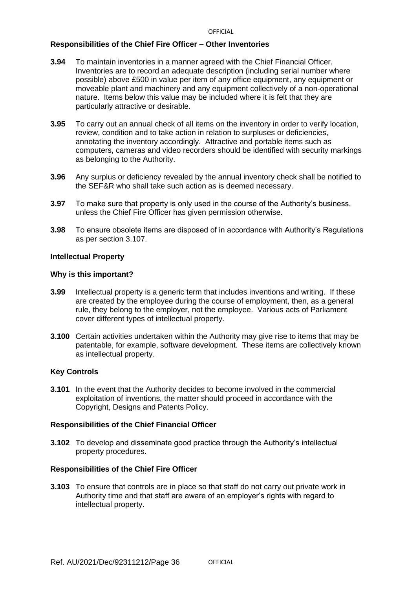## **Responsibilities of the Chief Fire Officer – Other Inventories**

- **3.94** To maintain inventories in a manner agreed with the Chief Financial Officer. Inventories are to record an adequate description (including serial number where possible) above £500 in value per item of any office equipment, any equipment or moveable plant and machinery and any equipment collectively of a non-operational nature. Items below this value may be included where it is felt that they are particularly attractive or desirable.
- **3.95** To carry out an annual check of all items on the inventory in order to verify location, review, condition and to take action in relation to surpluses or deficiencies, annotating the inventory accordingly. Attractive and portable items such as computers, cameras and video recorders should be identified with security markings as belonging to the Authority.
- **3.96** Any surplus or deficiency revealed by the annual inventory check shall be notified to the SEF&R who shall take such action as is deemed necessary.
- **3.97** To make sure that property is only used in the course of the Authority's business, unless the Chief Fire Officer has given permission otherwise.
- **3.98** To ensure obsolete items are disposed of in accordance with Authority's Regulations as per section 3.107.

#### **Intellectual Property**

#### **Why is this important?**

- **3.99** Intellectual property is a generic term that includes inventions and writing. If these are created by the employee during the course of employment, then, as a general rule, they belong to the employer, not the employee. Various acts of Parliament cover different types of intellectual property.
- **3.100** Certain activities undertaken within the Authority may give rise to items that may be patentable, for example, software development. These items are collectively known as intellectual property.

#### **Key Controls**

**3.101** In the event that the Authority decides to become involved in the commercial exploitation of inventions, the matter should proceed in accordance with the Copyright, Designs and Patents Policy.

## **Responsibilities of the Chief Financial Officer**

**3.102** To develop and disseminate good practice through the Authority's intellectual property procedures.

#### **Responsibilities of the Chief Fire Officer**

**3.103** To ensure that controls are in place so that staff do not carry out private work in Authority time and that staff are aware of an employer's rights with regard to intellectual property.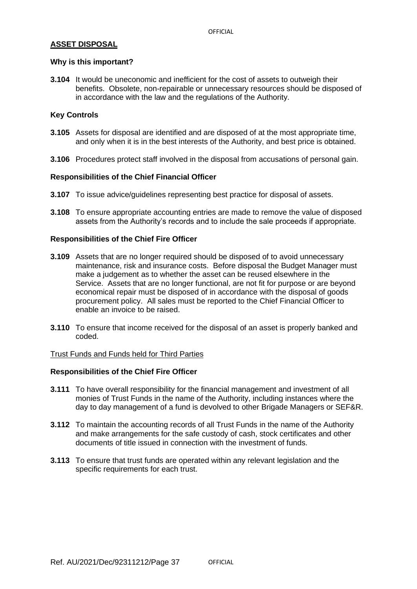## **ASSET DISPOSAL**

### **Why is this important?**

**3.104** It would be uneconomic and inefficient for the cost of assets to outweigh their benefits. Obsolete, non-repairable or unnecessary resources should be disposed of in accordance with the law and the regulations of the Authority.

## **Key Controls**

- **3.105** Assets for disposal are identified and are disposed of at the most appropriate time, and only when it is in the best interests of the Authority, and best price is obtained.
- **3.106** Procedures protect staff involved in the disposal from accusations of personal gain.

## **Responsibilities of the Chief Financial Officer**

- **3.107** To issue advice/guidelines representing best practice for disposal of assets.
- **3.108** To ensure appropriate accounting entries are made to remove the value of disposed assets from the Authority's records and to include the sale proceeds if appropriate.

## **Responsibilities of the Chief Fire Officer**

- **3.109** Assets that are no longer required should be disposed of to avoid unnecessary maintenance, risk and insurance costs. Before disposal the Budget Manager must make a judgement as to whether the asset can be reused elsewhere in the Service. Assets that are no longer functional, are not fit for purpose or are beyond economical repair must be disposed of in accordance with the disposal of goods procurement policy. All sales must be reported to the Chief Financial Officer to enable an invoice to be raised.
- **3.110** To ensure that income received for the disposal of an asset is properly banked and coded.

#### Trust Funds and Funds held for Third Parties

- **3.111** To have overall responsibility for the financial management and investment of all monies of Trust Funds in the name of the Authority, including instances where the day to day management of a fund is devolved to other Brigade Managers or SEF&R.
- **3.112** To maintain the accounting records of all Trust Funds in the name of the Authority and make arrangements for the safe custody of cash, stock certificates and other documents of title issued in connection with the investment of funds.
- **3.113** To ensure that trust funds are operated within any relevant legislation and the specific requirements for each trust.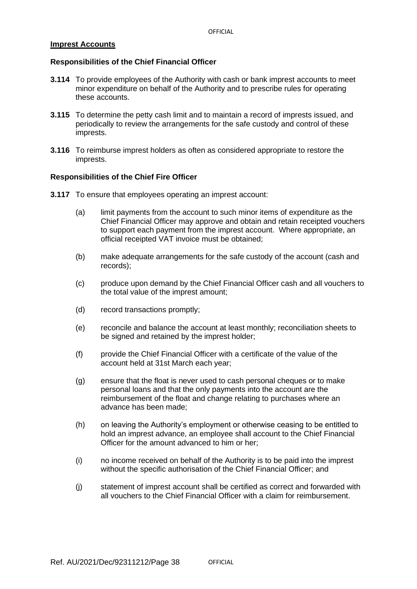## **Imprest Accounts**

## **Responsibilities of the Chief Financial Officer**

- **3.114** To provide employees of the Authority with cash or bank imprest accounts to meet minor expenditure on behalf of the Authority and to prescribe rules for operating these accounts.
- **3.115** To determine the petty cash limit and to maintain a record of imprests issued, and periodically to review the arrangements for the safe custody and control of these imprests.
- **3.116** To reimburse imprest holders as often as considered appropriate to restore the imprests.

- **3.117** To ensure that employees operating an imprest account:
	- (a) limit payments from the account to such minor items of expenditure as the Chief Financial Officer may approve and obtain and retain receipted vouchers to support each payment from the imprest account. Where appropriate, an official receipted VAT invoice must be obtained;
	- (b) make adequate arrangements for the safe custody of the account (cash and records);
	- (c) produce upon demand by the Chief Financial Officer cash and all vouchers to the total value of the imprest amount;
	- (d) record transactions promptly;
	- (e) reconcile and balance the account at least monthly; reconciliation sheets to be signed and retained by the imprest holder;
	- (f) provide the Chief Financial Officer with a certificate of the value of the account held at 31st March each year;
	- (g) ensure that the float is never used to cash personal cheques or to make personal loans and that the only payments into the account are the reimbursement of the float and change relating to purchases where an advance has been made;
	- (h) on leaving the Authority's employment or otherwise ceasing to be entitled to hold an imprest advance, an employee shall account to the Chief Financial Officer for the amount advanced to him or her;
	- (i) no income received on behalf of the Authority is to be paid into the imprest without the specific authorisation of the Chief Financial Officer; and
	- (j) statement of imprest account shall be certified as correct and forwarded with all vouchers to the Chief Financial Officer with a claim for reimbursement.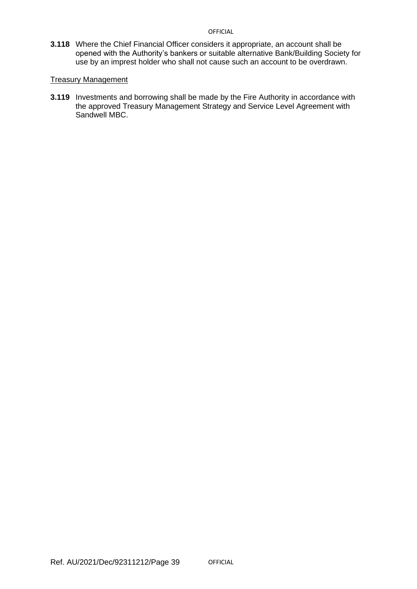**3.118** Where the Chief Financial Officer considers it appropriate, an account shall be opened with the Authority's bankers or suitable alternative Bank/Building Society for use by an imprest holder who shall not cause such an account to be overdrawn.

## Treasury Management

**3.119** Investments and borrowing shall be made by the Fire Authority in accordance with the approved Treasury Management Strategy and Service Level Agreement with Sandwell MBC.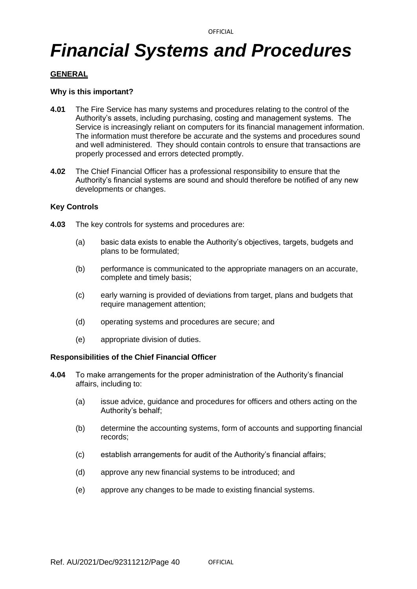## *Financial Systems and Procedures*

## **GENERAL**

## **Why is this important?**

- **4.01** The Fire Service has many systems and procedures relating to the control of the Authority's assets, including purchasing, costing and management systems. The Service is increasingly reliant on computers for its financial management information. The information must therefore be accurate and the systems and procedures sound and well administered. They should contain controls to ensure that transactions are properly processed and errors detected promptly.
- **4.02** The Chief Financial Officer has a professional responsibility to ensure that the Authority's financial systems are sound and should therefore be notified of any new developments or changes.

## **Key Controls**

- **4.03** The key controls for systems and procedures are:
	- (a) basic data exists to enable the Authority's objectives, targets, budgets and plans to be formulated;
	- (b) performance is communicated to the appropriate managers on an accurate, complete and timely basis;
	- (c) early warning is provided of deviations from target, plans and budgets that require management attention:
	- (d) operating systems and procedures are secure; and
	- (e) appropriate division of duties.

- **4.04** To make arrangements for the proper administration of the Authority's financial affairs, including to:
	- (a) issue advice, guidance and procedures for officers and others acting on the Authority's behalf;
	- (b) determine the accounting systems, form of accounts and supporting financial records;
	- (c) establish arrangements for audit of the Authority's financial affairs;
	- (d) approve any new financial systems to be introduced; and
	- (e) approve any changes to be made to existing financial systems.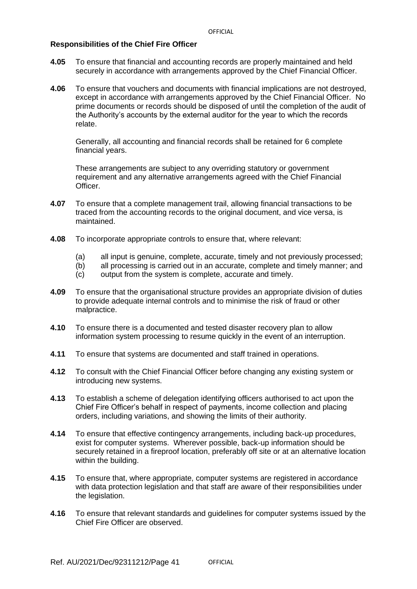#### **Responsibilities of the Chief Fire Officer**

- **4.05** To ensure that financial and accounting records are properly maintained and held securely in accordance with arrangements approved by the Chief Financial Officer.
- **4.06** To ensure that vouchers and documents with financial implications are not destroyed, except in accordance with arrangements approved by the Chief Financial Officer. No prime documents or records should be disposed of until the completion of the audit of the Authority's accounts by the external auditor for the year to which the records relate.

Generally, all accounting and financial records shall be retained for 6 complete financial years.

These arrangements are subject to any overriding statutory or government requirement and any alternative arrangements agreed with the Chief Financial Officer.

- **4.07** To ensure that a complete management trail, allowing financial transactions to be traced from the accounting records to the original document, and vice versa, is maintained.
- **4.08** To incorporate appropriate controls to ensure that, where relevant:
	- (a) all input is genuine, complete, accurate, timely and not previously processed;
	- (b) all processing is carried out in an accurate, complete and timely manner; and
	- (c) output from the system is complete, accurate and timely.
- **4.09** To ensure that the organisational structure provides an appropriate division of duties to provide adequate internal controls and to minimise the risk of fraud or other malpractice.
- **4.10** To ensure there is a documented and tested disaster recovery plan to allow information system processing to resume quickly in the event of an interruption.
- **4.11** To ensure that systems are documented and staff trained in operations.
- **4.12** To consult with the Chief Financial Officer before changing any existing system or introducing new systems.
- **4.13** To establish a scheme of delegation identifying officers authorised to act upon the Chief Fire Officer's behalf in respect of payments, income collection and placing orders, including variations, and showing the limits of their authority.
- **4.14** To ensure that effective contingency arrangements, including back-up procedures, exist for computer systems. Wherever possible, back-up information should be securely retained in a fireproof location, preferably off site or at an alternative location within the building.
- **4.15** To ensure that, where appropriate, computer systems are registered in accordance with data protection legislation and that staff are aware of their responsibilities under the legislation.
- **4.16** To ensure that relevant standards and guidelines for computer systems issued by the Chief Fire Officer are observed.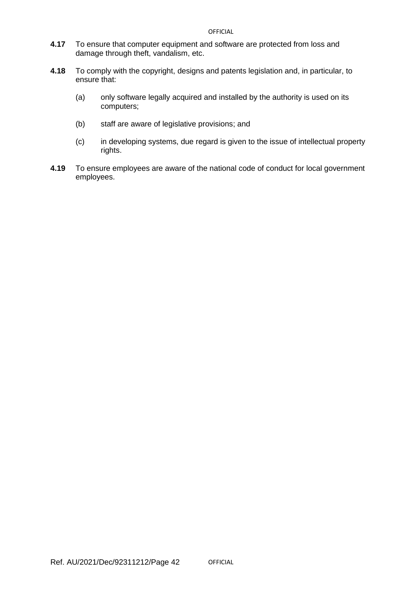- **4.17** To ensure that computer equipment and software are protected from loss and damage through theft, vandalism, etc.
- **4.18** To comply with the copyright, designs and patents legislation and, in particular, to ensure that:
	- (a) only software legally acquired and installed by the authority is used on its computers;
	- (b) staff are aware of legislative provisions; and
	- (c) in developing systems, due regard is given to the issue of intellectual property rights.
- **4.19** To ensure employees are aware of the national code of conduct for local government employees.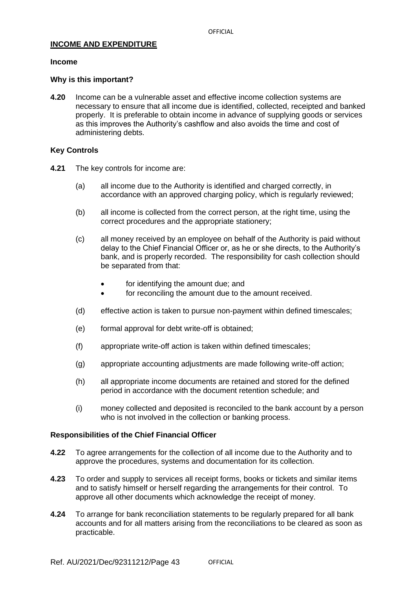## **INCOME AND EXPENDITURE**

#### **Income**

#### **Why is this important?**

**4.20** Income can be a vulnerable asset and effective income collection systems are necessary to ensure that all income due is identified, collected, receipted and banked properly. It is preferable to obtain income in advance of supplying goods or services as this improves the Authority's cashflow and also avoids the time and cost of administering debts.

## **Key Controls**

- **4.21** The key controls for income are:
	- (a) all income due to the Authority is identified and charged correctly, in accordance with an approved charging policy, which is regularly reviewed;
	- (b) all income is collected from the correct person, at the right time, using the correct procedures and the appropriate stationery;
	- (c) all money received by an employee on behalf of the Authority is paid without delay to the Chief Financial Officer or, as he or she directs, to the Authority's bank, and is properly recorded. The responsibility for cash collection should be separated from that:
		- for identifying the amount due; and
		- for reconciling the amount due to the amount received.
	- (d) effective action is taken to pursue non-payment within defined timescales;
	- (e) formal approval for debt write-off is obtained;
	- (f) appropriate write-off action is taken within defined timescales;
	- (g) appropriate accounting adjustments are made following write-off action;
	- (h) all appropriate income documents are retained and stored for the defined period in accordance with the document retention schedule; and
	- (i) money collected and deposited is reconciled to the bank account by a person who is not involved in the collection or banking process.

- **4.22** To agree arrangements for the collection of all income due to the Authority and to approve the procedures, systems and documentation for its collection.
- **4.23** To order and supply to services all receipt forms, books or tickets and similar items and to satisfy himself or herself regarding the arrangements for their control. To approve all other documents which acknowledge the receipt of money.
- **4.24** To arrange for bank reconciliation statements to be regularly prepared for all bank accounts and for all matters arising from the reconciliations to be cleared as soon as practicable.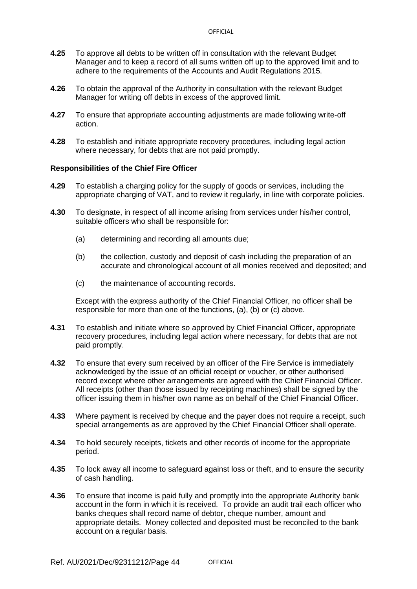- **4.25** To approve all debts to be written off in consultation with the relevant Budget Manager and to keep a record of all sums written off up to the approved limit and to adhere to the requirements of the Accounts and Audit Regulations 2015.
- **4.26** To obtain the approval of the Authority in consultation with the relevant Budget Manager for writing off debts in excess of the approved limit.
- **4.27** To ensure that appropriate accounting adjustments are made following write-off action.
- **4.28** To establish and initiate appropriate recovery procedures, including legal action where necessary, for debts that are not paid promptly.

## **Responsibilities of the Chief Fire Officer**

- **4.29** To establish a charging policy for the supply of goods or services, including the appropriate charging of VAT, and to review it regularly, in line with corporate policies.
- **4.30** To designate, in respect of all income arising from services under his/her control, suitable officers who shall be responsible for:
	- (a) determining and recording all amounts due;
	- (b) the collection, custody and deposit of cash including the preparation of an accurate and chronological account of all monies received and deposited; and
	- (c) the maintenance of accounting records.

Except with the express authority of the Chief Financial Officer, no officer shall be responsible for more than one of the functions, (a), (b) or (c) above.

- **4.31** To establish and initiate where so approved by Chief Financial Officer, appropriate recovery procedures, including legal action where necessary, for debts that are not paid promptly.
- **4.32** To ensure that every sum received by an officer of the Fire Service is immediately acknowledged by the issue of an official receipt or voucher, or other authorised record except where other arrangements are agreed with the Chief Financial Officer. All receipts (other than those issued by receipting machines) shall be signed by the officer issuing them in his/her own name as on behalf of the Chief Financial Officer.
- **4.33** Where payment is received by cheque and the payer does not require a receipt, such special arrangements as are approved by the Chief Financial Officer shall operate.
- **4.34** To hold securely receipts, tickets and other records of income for the appropriate period.
- **4.35** To lock away all income to safeguard against loss or theft, and to ensure the security of cash handling.
- **4.36** To ensure that income is paid fully and promptly into the appropriate Authority bank account in the form in which it is received. To provide an audit trail each officer who banks cheques shall record name of debtor, cheque number, amount and appropriate details. Money collected and deposited must be reconciled to the bank account on a regular basis.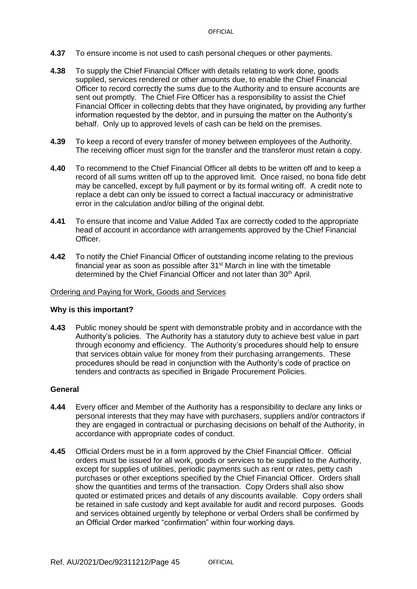- **4.37** To ensure income is not used to cash personal cheques or other payments.
- **4.38** To supply the Chief Financial Officer with details relating to work done, goods supplied, services rendered or other amounts due, to enable the Chief Financial Officer to record correctly the sums due to the Authority and to ensure accounts are sent out promptly. The Chief Fire Officer has a responsibility to assist the Chief Financial Officer in collecting debts that they have originated*,* by providing any further information requested by the debtor, and in pursuing the matter on the Authority's behalf. Only up to approved levels of cash can be held on the premises.
- **4.39** To keep a record of every transfer of money between employees of the Authority. The receiving officer must sign for the transfer and the transferor must retain a copy.
- **4.40** To recommend to the Chief Financial Officer all debts to be written off and to keep a record of all sums written off up to the approved limit. Once raised, no bona fide debt may be cancelled, except by full payment or by its formal writing off. A credit note to replace a debt can only be issued to correct a factual inaccuracy or administrative error in the calculation and/or billing of the original debt.
- **4.41** To ensure that income and Value Added Tax are correctly coded to the appropriate head of account in accordance with arrangements approved by the Chief Financial Officer.
- **4.42** To notify the Chief Financial Officer of outstanding income relating to the previous financial year as soon as possible after  $31<sup>st</sup>$  March in line with the timetable determined by the Chief Financial Officer and not later than 30<sup>th</sup> April.

#### Ordering and Paying for Work, Goods and Services

#### **Why is this important?**

**4.43** Public money should be spent with demonstrable probity and in accordance with the Authority's policies. The Authority has a statutory duty to achieve best value in part through economy and efficiency. The Authority's procedures should help to ensure that services obtain value for money from their purchasing arrangements. These procedures should be read in conjunction with the Authority's code of practice on tenders and contracts as specified in Brigade Procurement Policies.

#### **General**

- **4.44** Every officer and Member of the Authority has a responsibility to declare any links or personal interests that they may have with purchasers, suppliers and/or contractors if they are engaged in contractual or purchasing decisions on behalf of the Authority, in accordance with appropriate codes of conduct.
- **4.45** Official Orders must be in a form approved by the Chief Financial Officer. Official orders must be issued for all work, goods or services to be supplied to the Authority, except for supplies of utilities, periodic payments such as rent or rates, petty cash purchases or other exceptions specified by the Chief Financial Officer. Orders shall show the quantities and terms of the transaction. Copy Orders shall also show quoted or estimated prices and details of any discounts available. Copy orders shall be retained in safe custody and kept available for audit and record purposes. Goods and services obtained urgently by telephone or verbal Orders shall be confirmed by an Official Order marked "confirmation" within four working days.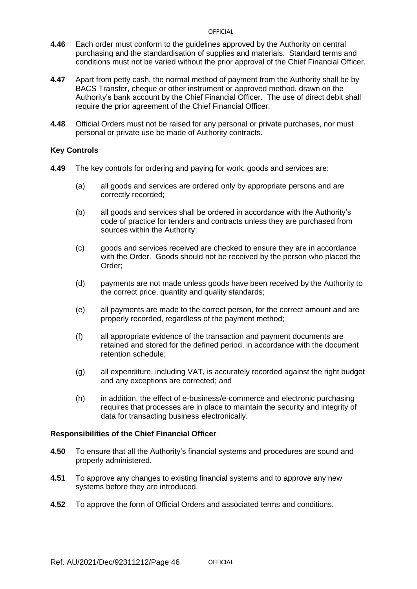- **4.46** Each order must conform to the guidelines approved by the Authority on central purchasing and the standardisation of supplies and materials. Standard terms and conditions must not be varied without the prior approval of the Chief Financial Officer.
- **4.47** Apart from petty cash, the normal method of payment from the Authority shall be by BACS Transfer, cheque or other instrument or approved method, drawn on the Authority's bank account by the Chief Financial Officer. The use of direct debit shall require the prior agreement of the Chief Financial Officer.
- **4.48** Official Orders must not be raised for any personal or private purchases, nor must personal or private use be made of Authority contracts.

## **Key Controls**

- **4.49** The key controls for ordering and paying for work, goods and services are:
	- (a) all goods and services are ordered only by appropriate persons and are correctly recorded;
	- (b) all goods and services shall be ordered in accordance with the Authority's code of practice for tenders and contracts unless they are purchased from sources within the Authority;
	- (c) goods and services received are checked to ensure they are in accordance with the Order. Goods should not be received by the person who placed the Order;
	- (d) payments are not made unless goods have been received by the Authority to the correct price, quantity and quality standards;
	- (e) all payments are made to the correct person, for the correct amount and are properly recorded, regardless of the payment method;
	- (f) all appropriate evidence of the transaction and payment documents are retained and stored for the defined period, in accordance with the document retention schedule;
	- (g) all expenditure, including VAT, is accurately recorded against the right budget and any exceptions are corrected; and
	- (h) in addition, the effect of e-business/e-commerce and electronic purchasing requires that processes are in place to maintain the security and integrity of data for transacting business electronically.

- **4.50** To ensure that all the Authority's financial systems and procedures are sound and properly administered.
- **4.51** To approve any changes to existing financial systems and to approve any new systems before they are introduced.
- **4.52** To approve the form of Official Orders and associated terms and conditions.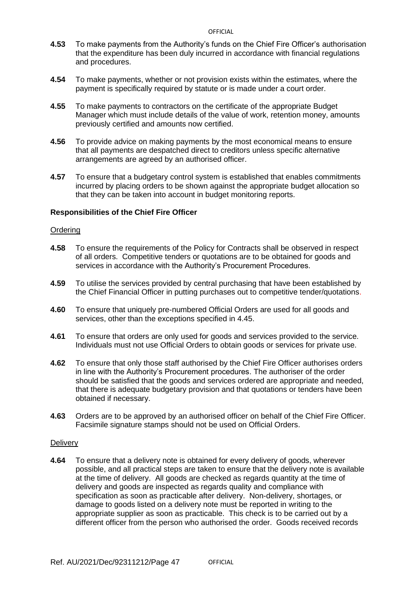- **4.53** To make payments from the Authority's funds on the Chief Fire Officer's authorisation that the expenditure has been duly incurred in accordance with financial regulations and procedures.
- **4.54** To make payments, whether or not provision exists within the estimates, where the payment is specifically required by statute or is made under a court order.
- **4.55** To make payments to contractors on the certificate of the appropriate Budget Manager which must include details of the value of work, retention money, amounts previously certified and amounts now certified.
- **4.56** To provide advice on making payments by the most economical means to ensure that all payments are despatched direct to creditors unless specific alternative arrangements are agreed by an authorised officer.
- **4.57** To ensure that a budgetary control system is established that enables commitments incurred by placing orders to be shown against the appropriate budget allocation so that they can be taken into account in budget monitoring reports.

## **Responsibilities of the Chief Fire Officer**

#### **Ordering**

- **4.58** To ensure the requirements of the Policy for Contracts shall be observed in respect of all orders. Competitive tenders or quotations are to be obtained for goods and services in accordance with the Authority's Procurement Procedures.
- **4.59** To utilise the services provided by central purchasing that have been established by the Chief Financial Officer in putting purchases out to competitive tender/quotations.
- **4.60** To ensure that uniquely pre-numbered Official Orders are used for all goods and services, other than the exceptions specified in 4.45.
- **4.61** To ensure that orders are only used for goods and services provided to the service. Individuals must not use Official Orders to obtain goods or services for private use.
- **4.62** To ensure that only those staff authorised by the Chief Fire Officer authorises orders in line with the Authority's Procurement procedures. The authoriser of the order should be satisfied that the goods and services ordered are appropriate and needed, that there is adequate budgetary provision and that quotations or tenders have been obtained if necessary.
- **4.63** Orders are to be approved by an authorised officer on behalf of the Chief Fire Officer. Facsimile signature stamps should not be used on Official Orders.

#### **Delivery**

**4.64** To ensure that a delivery note is obtained for every delivery of goods, wherever possible, and all practical steps are taken to ensure that the delivery note is available at the time of delivery. All goods are checked as regards quantity at the time of delivery and goods are inspected as regards quality and compliance with specification as soon as practicable after delivery. Non-delivery, shortages, or damage to goods listed on a delivery note must be reported in writing to the appropriate supplier as soon as practicable. This check is to be carried out by a different officer from the person who authorised the order. Goods received records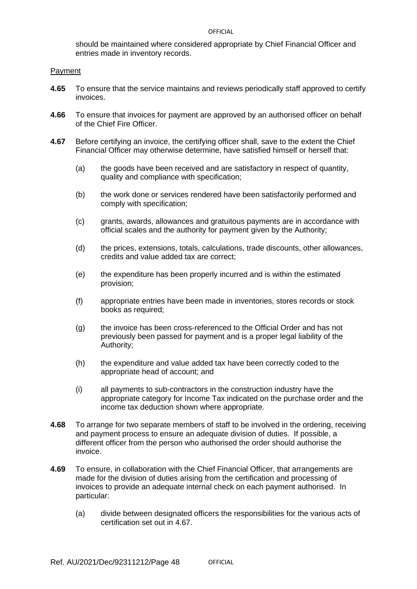should be maintained where considered appropriate by Chief Financial Officer and entries made in inventory records.

### Payment

- **4.65** To ensure that the service maintains and reviews periodically staff approved to certify invoices.
- **4.66** To ensure that invoices for payment are approved by an authorised officer on behalf of the Chief Fire Officer.
- **4.67** Before certifying an invoice, the certifying officer shall, save to the extent the Chief Financial Officer may otherwise determine, have satisfied himself or herself that:
	- (a) the goods have been received and are satisfactory in respect of quantity, quality and compliance with specification;
	- (b) the work done or services rendered have been satisfactorily performed and comply with specification;
	- (c) grants, awards, allowances and gratuitous payments are in accordance with official scales and the authority for payment given by the Authority;
	- (d) the prices, extensions, totals, calculations, trade discounts, other allowances, credits and value added tax are correct;
	- (e) the expenditure has been properly incurred and is within the estimated provision;
	- (f) appropriate entries have been made in inventories, stores records or stock books as required;
	- (g) the invoice has been cross-referenced to the Official Order and has not previously been passed for payment and is a proper legal liability of the Authority;
	- (h) the expenditure and value added tax have been correctly coded to the appropriate head of account; and
	- (i) all payments to sub-contractors in the construction industry have the appropriate category for Income Tax indicated on the purchase order and the income tax deduction shown where appropriate.
- **4.68** To arrange for two separate members of staff to be involved in the ordering, receiving and payment process to ensure an adequate division of duties. If possible, a different officer from the person who authorised the order should authorise the invoice.
- **4.69** To ensure, in collaboration with the Chief Financial Officer, that arrangements are made for the division of duties arising from the certification and processing of invoices to provide an adequate internal check on each payment authorised. In particular:
	- (a) divide between designated officers the responsibilities for the various acts of certification set out in 4.67.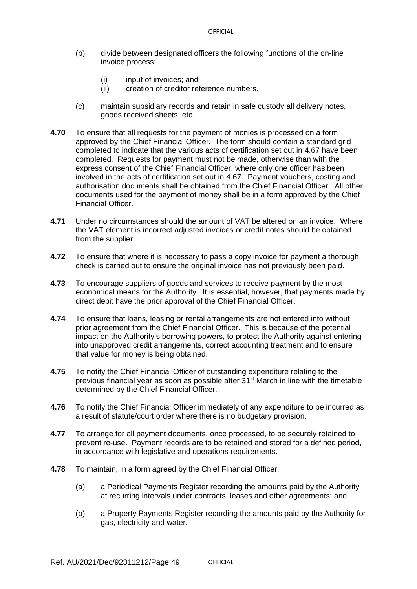- (b) divide between designated officers the following functions of the on-line invoice process:
	- (i) input of invoices; and
	- (ii) creation of creditor reference numbers.
- (c) maintain subsidiary records and retain in safe custody all delivery notes, goods received sheets, etc.
- **4.70** To ensure that all requests for the payment of monies is processed on a form approved by the Chief Financial Officer. The form should contain a standard grid completed to indicate that the various acts of certification set out in 4.67 have been completed. Requests for payment must not be made, otherwise than with the express consent of the Chief Financial Officer, where only one officer has been involved in the acts of certification set out in 4.67. Payment vouchers, costing and authorisation documents shall be obtained from the Chief Financial Officer. All other documents used for the payment of money shall be in a form approved by the Chief Financial Officer.
- **4.71** Under no circumstances should the amount of VAT be altered on an invoice. Where the VAT element is incorrect adjusted invoices or credit notes should be obtained from the supplier.
- **4.72** To ensure that where it is necessary to pass a copy invoice for payment a thorough check is carried out to ensure the original invoice has not previously been paid.
- **4.73** To encourage suppliers of goods and services to receive payment by the most economical means for the Authority. It is essential, however, that payments made by direct debit have the prior approval of the Chief Financial Officer.
- **4.74** To ensure that loans, leasing or rental arrangements are not entered into without prior agreement from the Chief Financial Officer. This is because of the potential impact on the Authority's borrowing powers, to protect the Authority against entering into unapproved credit arrangements, correct accounting treatment and to ensure that value for money is being obtained.
- **4.75** To notify the Chief Financial Officer of outstanding expenditure relating to the previous financial year as soon as possible after 31<sup>st</sup> March in line with the timetable determined by the Chief Financial Officer.
- **4.76** To notify the Chief Financial Officer immediately of any expenditure to be incurred as a result of statute/court order where there is no budgetary provision.
- **4.77** To arrange for all payment documents, once processed, to be securely retained to prevent re-use. Payment records are to be retained and stored for a defined period, in accordance with legislative and operations requirements.
- **4.78** To maintain, in a form agreed by the Chief Financial Officer:
	- (a) a Periodical Payments Register recording the amounts paid by the Authority at recurring intervals under contracts, leases and other agreements; and
	- (b) a Property Payments Register recording the amounts paid by the Authority for gas, electricity and water.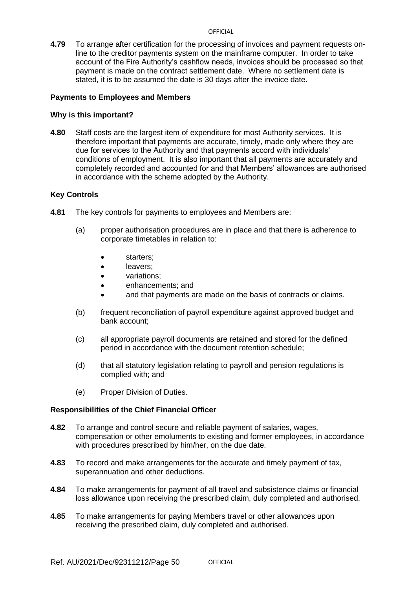**4.79** To arrange after certification for the processing of invoices and payment requests online to the creditor payments system on the mainframe computer. In order to take account of the Fire Authority's cashflow needs, invoices should be processed so that payment is made on the contract settlement date. Where no settlement date is stated, it is to be assumed the date is 30 days after the invoice date.

## **Payments to Employees and Members**

## **Why is this important?**

**4.80** Staff costs are the largest item of expenditure for most Authority services. It is therefore important that payments are accurate, timely, made only where they are due for services to the Authority and that payments accord with individuals' conditions of employment. It is also important that all payments are accurately and completely recorded and accounted for and that Members' allowances are authorised in accordance with the scheme adopted by the Authority.

## **Key Controls**

- **4.81** The key controls for payments to employees and Members are:
	- (a) proper authorisation procedures are in place and that there is adherence to corporate timetables in relation to:
		- starters;
		- leavers;
		- variations;
		- enhancements; and
		- and that payments are made on the basis of contracts or claims.
	- (b) frequent reconciliation of payroll expenditure against approved budget and bank account;
	- (c) all appropriate payroll documents are retained and stored for the defined period in accordance with the document retention schedule;
	- (d) that all statutory legislation relating to payroll and pension regulations is complied with; and
	- (e) Proper Division of Duties.

- **4.82** To arrange and control secure and reliable payment of salaries, wages, compensation or other emoluments to existing and former employees, in accordance with procedures prescribed by him/her, on the due date.
- **4.83** To record and make arrangements for the accurate and timely payment of tax, superannuation and other deductions.
- **4.84** To make arrangements for payment of all travel and subsistence claims or financial loss allowance upon receiving the prescribed claim, duly completed and authorised.
- **4.85** To make arrangements for paying Members travel or other allowances upon receiving the prescribed claim, duly completed and authorised.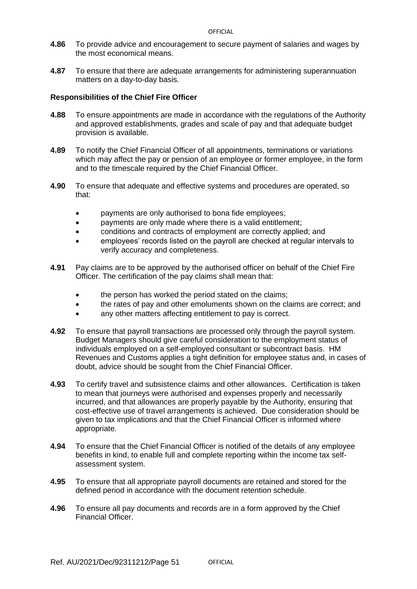- **4.86** To provide advice and encouragement to secure payment of salaries and wages by the most economical means.
- **4.87** To ensure that there are adequate arrangements for administering superannuation matters on a day-to-day basis.

- **4.88** To ensure appointments are made in accordance with the regulations of the Authority and approved establishments, grades and scale of pay and that adequate budget provision is available.
- **4.89** To notify the Chief Financial Officer of all appointments, terminations or variations which may affect the pay or pension of an employee or former employee, in the form and to the timescale required by the Chief Financial Officer.
- **4.90** To ensure that adequate and effective systems and procedures are operated, so that:
	- payments are only authorised to bona fide employees;
	- payments are only made where there is a valid entitlement;
	- conditions and contracts of employment are correctly applied; and
	- employees' records listed on the payroll are checked at regular intervals to verify accuracy and completeness.
- **4.91** Pay claims are to be approved by the authorised officer on behalf of the Chief Fire Officer. The certification of the pay claims shall mean that:
	- the person has worked the period stated on the claims;
	- the rates of pay and other emoluments shown on the claims are correct; and
	- any other matters affecting entitlement to pay is correct.
- **4.92** To ensure that payroll transactions are processed only through the payroll system. Budget Managers should give careful consideration to the employment status of individuals employed on a self-employed consultant or subcontract basis. HM Revenues and Customs applies a tight definition for employee status and, in cases of doubt, advice should be sought from the Chief Financial Officer.
- **4.93** To certify travel and subsistence claims and other allowances. Certification is taken to mean that journeys were authorised and expenses properly and necessarily incurred, and that allowances are properly payable by the Authority, ensuring that cost-effective use of travel arrangements is achieved. Due consideration should be given to tax implications and that the Chief Financial Officer is informed where appropriate.
- **4.94** To ensure that the Chief Financial Officer is notified of the details of any employee benefits in kind, to enable full and complete reporting within the income tax selfassessment system.
- **4.95** To ensure that all appropriate payroll documents are retained and stored for the defined period in accordance with the document retention schedule.
- **4.96** To ensure all pay documents and records are in a form approved by the Chief Financial Officer.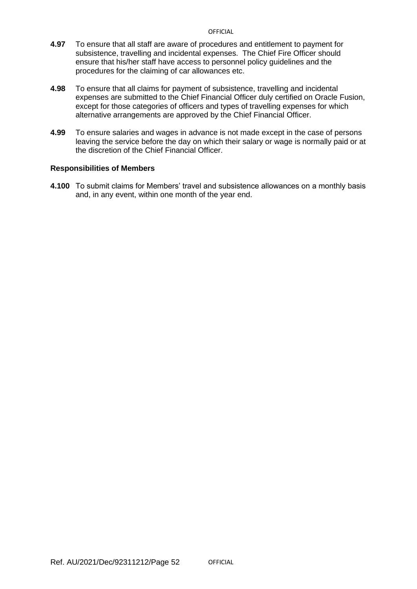- **4.97** To ensure that all staff are aware of procedures and entitlement to payment for subsistence, travelling and incidental expenses. The Chief Fire Officer should ensure that his/her staff have access to personnel policy guidelines and the procedures for the claiming of car allowances etc.
- **4.98** To ensure that all claims for payment of subsistence, travelling and incidental expenses are submitted to the Chief Financial Officer duly certified on Oracle Fusion, except for those categories of officers and types of travelling expenses for which alternative arrangements are approved by the Chief Financial Officer.
- **4.99** To ensure salaries and wages in advance is not made except in the case of persons leaving the service before the day on which their salary or wage is normally paid or at the discretion of the Chief Financial Officer.

## **Responsibilities of Members**

**4.100** To submit claims for Members' travel and subsistence allowances on a monthly basis and, in any event, within one month of the year end.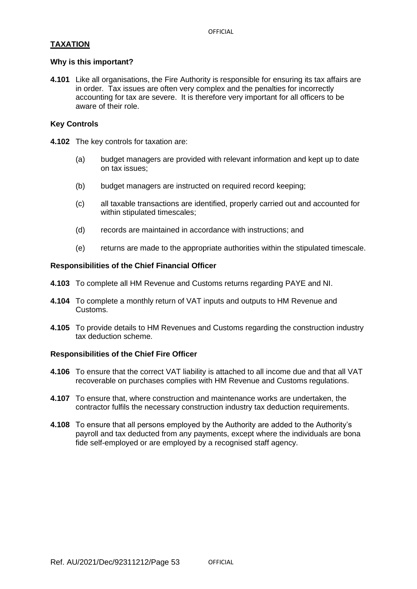## **TAXATION**

## **Why is this important?**

**4.101** Like all organisations, the Fire Authority is responsible for ensuring its tax affairs are in order. Tax issues are often very complex and the penalties for incorrectly accounting for tax are severe. It is therefore very important for all officers to be aware of their role.

## **Key Controls**

- **4.102** The key controls for taxation are:
	- (a) budget managers are provided with relevant information and kept up to date on tax issues;
	- (b) budget managers are instructed on required record keeping;
	- (c) all taxable transactions are identified, properly carried out and accounted for within stipulated timescales:
	- (d) records are maintained in accordance with instructions; and
	- (e) returns are made to the appropriate authorities within the stipulated timescale.

## **Responsibilities of the Chief Financial Officer**

- **4.103** To complete all HM Revenue and Customs returns regarding PAYE and NI.
- **4.104** To complete a monthly return of VAT inputs and outputs to HM Revenue and Customs.
- **4.105** To provide details to HM Revenues and Customs regarding the construction industry tax deduction scheme.

- **4.106** To ensure that the correct VAT liability is attached to all income due and that all VAT recoverable on purchases complies with HM Revenue and Customs regulations.
- **4.107** To ensure that, where construction and maintenance works are undertaken, the contractor fulfils the necessary construction industry tax deduction requirements.
- **4.108** To ensure that all persons employed by the Authority are added to the Authority's payroll and tax deducted from any payments, except where the individuals are bona fide self-employed or are employed by a recognised staff agency.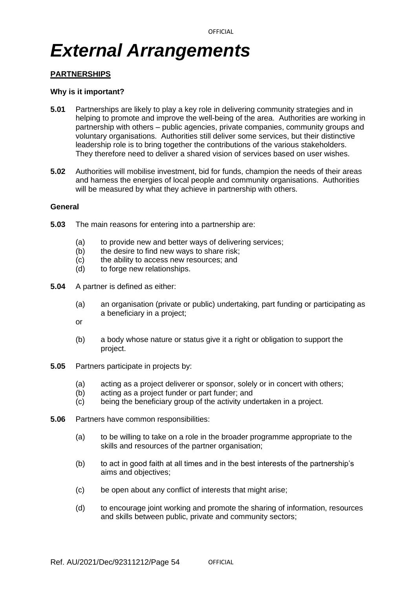## *External Arrangements*

## **PARTNERSHIPS**

### **Why is it important?**

- **5.01** Partnerships are likely to play a key role in delivering community strategies and in helping to promote and improve the well-being of the area. Authorities are working in partnership with others – public agencies, private companies, community groups and voluntary organisations. Authorities still deliver some services, but their distinctive leadership role is to bring together the contributions of the various stakeholders. They therefore need to deliver a shared vision of services based on user wishes.
- **5.02** Authorities will mobilise investment, bid for funds, champion the needs of their areas and harness the energies of local people and community organisations. Authorities will be measured by what they achieve in partnership with others.

#### **General**

- **5.03** The main reasons for entering into a partnership are:
	- (a) to provide new and better ways of delivering services;
	- (b) the desire to find new ways to share risk;
	- (c) the ability to access new resources; and
	- (d) to forge new relationships.
- **5.04** A partner is defined as either:
	- (a) an organisation (private or public) undertaking, part funding or participating as a beneficiary in a project;
	- or
	- (b) a body whose nature or status give it a right or obligation to support the project.
- **5.05** Partners participate in projects by:
	- (a) acting as a project deliverer or sponsor, solely or in concert with others;
	- (b) acting as a project funder or part funder; and
	- (c) being the beneficiary group of the activity undertaken in a project.
- **5.06** Partners have common responsibilities:
	- (a) to be willing to take on a role in the broader programme appropriate to the skills and resources of the partner organisation;
	- (b) to act in good faith at all times and in the best interests of the partnership's aims and objectives;
	- (c) be open about any conflict of interests that might arise;
	- (d) to encourage joint working and promote the sharing of information, resources and skills between public, private and community sectors;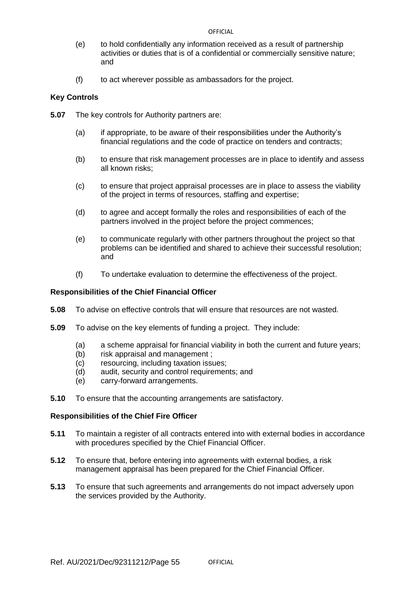- (e) to hold confidentially any information received as a result of partnership activities or duties that is of a confidential or commercially sensitive nature; and
- (f) to act wherever possible as ambassadors for the project.

## **Key Controls**

- **5.07** The key controls for Authority partners are:
	- (a) if appropriate, to be aware of their responsibilities under the Authority's financial regulations and the code of practice on tenders and contracts;
	- (b) to ensure that risk management processes are in place to identify and assess all known risks;
	- (c) to ensure that project appraisal processes are in place to assess the viability of the project in terms of resources, staffing and expertise;
	- (d) to agree and accept formally the roles and responsibilities of each of the partners involved in the project before the project commences;
	- (e) to communicate regularly with other partners throughout the project so that problems can be identified and shared to achieve their successful resolution; and
	- (f) To undertake evaluation to determine the effectiveness of the project.

## **Responsibilities of the Chief Financial Officer**

- **5.08** To advise on effective controls that will ensure that resources are not wasted.
- **5.09** To advise on the key elements of funding a project. They include:
	- (a) a scheme appraisal for financial viability in both the current and future years;
	- (b) risk appraisal and management ;
	- (c) resourcing, including taxation issues;
	- (d) audit, security and control requirements; and
	- (e) carry-forward arrangements.
- **5.10** To ensure that the accounting arrangements are satisfactory.

- **5.11** To maintain a register of all contracts entered into with external bodies in accordance with procedures specified by the Chief Financial Officer.
- **5.12** To ensure that, before entering into agreements with external bodies, a risk management appraisal has been prepared for the Chief Financial Officer.
- **5.13** To ensure that such agreements and arrangements do not impact adversely upon the services provided by the Authority.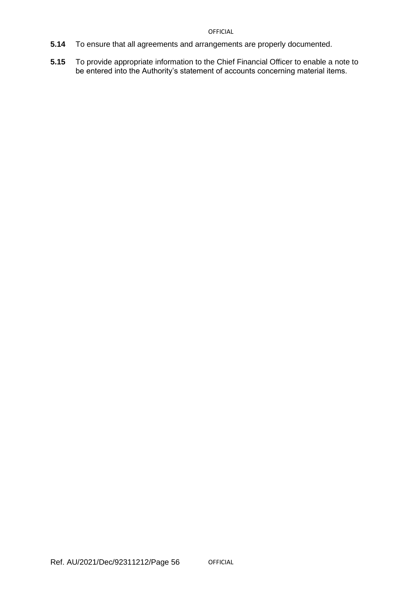- **5.14** To ensure that all agreements and arrangements are properly documented.
- **5.15** To provide appropriate information to the Chief Financial Officer to enable a note to be entered into the Authority's statement of accounts concerning material items.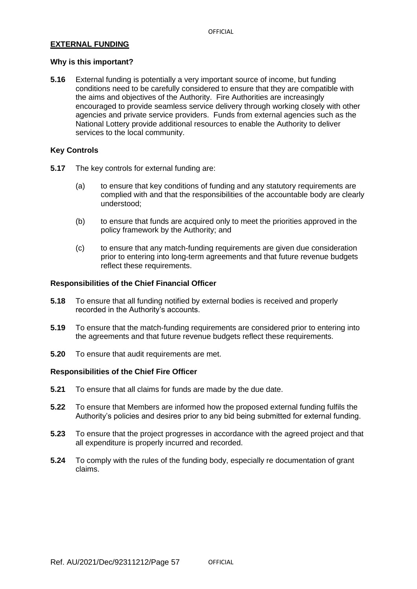## **EXTERNAL FUNDING**

## **Why is this important?**

**5.16** External funding is potentially a very important source of income, but funding conditions need to be carefully considered to ensure that they are compatible with the aims and objectives of the Authority. Fire Authorities are increasingly encouraged to provide seamless service delivery through working closely with other agencies and private service providers. Funds from external agencies such as the National Lottery provide additional resources to enable the Authority to deliver services to the local community.

## **Key Controls**

- **5.17** The key controls for external funding are:
	- (a) to ensure that key conditions of funding and any statutory requirements are complied with and that the responsibilities of the accountable body are clearly understood;
	- (b) to ensure that funds are acquired only to meet the priorities approved in the policy framework by the Authority; and
	- (c) to ensure that any match-funding requirements are given due consideration prior to entering into long-term agreements and that future revenue budgets reflect these requirements.

## **Responsibilities of the Chief Financial Officer**

- **5.18** To ensure that all funding notified by external bodies is received and properly recorded in the Authority's accounts.
- **5.19** To ensure that the match-funding requirements are considered prior to entering into the agreements and that future revenue budgets reflect these requirements.
- **5.20** To ensure that audit requirements are met.

- **5.21** To ensure that all claims for funds are made by the due date.
- **5.22** To ensure that Members are informed how the proposed external funding fulfils the Authority's policies and desires prior to any bid being submitted for external funding.
- **5.23** To ensure that the project progresses in accordance with the agreed project and that all expenditure is properly incurred and recorded.
- **5.24** To comply with the rules of the funding body, especially re documentation of grant claims.